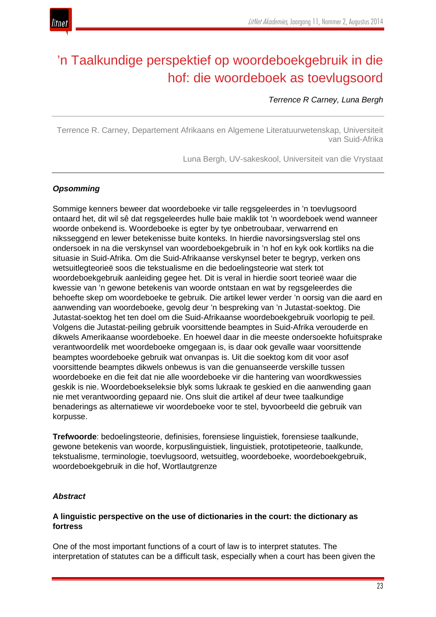# 'n Taalkundige perspektief op woordeboekgebruik in die hof: die woordeboek as toevlugsoord

# *Terrence R Carney, Luna Bergh*

Terrence R. Carney, Departement Afrikaans en Algemene Literatuurwetenskap, Universiteit van Suid-Afrika

Luna Bergh, UV-sakeskool, Universiteit van die Vrystaat

# *Opsomming*

Sommige kenners beweer dat woordeboeke vir talle regsgeleerdes in 'n toevlugsoord ontaard het, dit wil sê dat regsgeleerdes hulle baie maklik tot 'n woordeboek wend wanneer woorde onbekend is. Woordeboeke is egter by tye onbetroubaar, verwarrend en niksseggend en lewer betekenisse buite konteks. In hierdie navorsingsverslag stel ons ondersoek in na die verskynsel van woordeboekgebruik in 'n hof en kyk ook kortliks na die situasie in Suid-Afrika. Om die Suid-Afrikaanse verskynsel beter te begryp, verken ons wetsuitlegteorieë soos die tekstualisme en die bedoelingsteorie wat sterk tot woordeboekgebruik aanleiding gegee het. Dit is veral in hierdie soort teorieë waar die kwessie van 'n gewone betekenis van woorde ontstaan en wat by regsgeleerdes die behoefte skep om woordeboeke te gebruik. Die artikel lewer verder 'n oorsig van die aard en aanwending van woordeboeke, gevolg deur 'n bespreking van 'n Jutastat-soektog. Die Jutastat-soektog het ten doel om die Suid-Afrikaanse woordeboekgebruik voorlopig te peil. Volgens die Jutastat-peiling gebruik voorsittende beamptes in Suid-Afrika verouderde en dikwels Amerikaanse woordeboeke. En hoewel daar in die meeste ondersoekte hofuitsprake verantwoordelik met woordeboeke omgegaan is, is daar ook gevalle waar voorsittende beamptes woordeboeke gebruik wat onvanpas is. Uit die soektog kom dit voor asof voorsittende beamptes dikwels onbewus is van die genuanseerde verskille tussen woordeboeke en die feit dat nie alle woordeboeke vir die hantering van woordkwessies geskik is nie. Woordeboekseleksie blyk soms lukraak te geskied en die aanwending gaan nie met verantwoording gepaard nie. Ons sluit die artikel af deur twee taalkundige benaderings as alternatiewe vir woordeboeke voor te stel, byvoorbeeld die gebruik van korpusse.

**Trefwoorde**: bedoelingsteorie, definisies, forensiese linguistiek, forensiese taalkunde, gewone betekenis van woorde, korpuslinguistiek, linguistiek, prototipeteorie, taalkunde, tekstualisme, terminologie, toevlugsoord, wetsuitleg, woordeboeke, woordeboekgebruik, woordeboekgebruik in die hof, Wortlautgrenze

# *Abstract*

# **A linguistic perspective on the use of dictionaries in the court: the dictionary as fortress**

One of the most important functions of a court of law is to interpret statutes. The interpretation of statutes can be a difficult task, especially when a court has been given the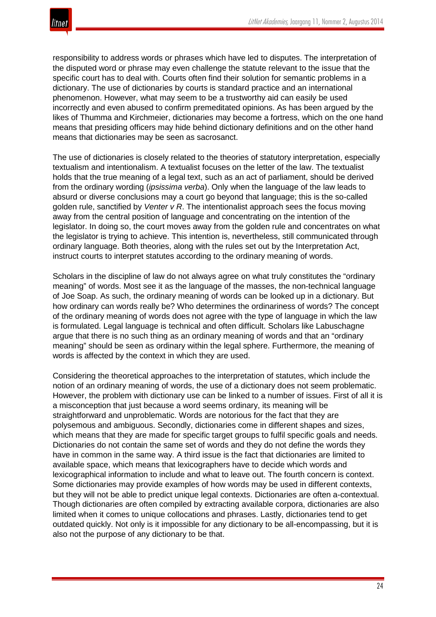

responsibility to address words or phrases which have led to disputes. The interpretation of the disputed word or phrase may even challenge the statute relevant to the issue that the specific court has to deal with. Courts often find their solution for semantic problems in a dictionary. The use of dictionaries by courts is standard practice and an international phenomenon. However, what may seem to be a trustworthy aid can easily be used incorrectly and even abused to confirm premeditated opinions. As has been argued by the likes of Thumma and Kirchmeier, dictionaries may become a fortress, which on the one hand means that presiding officers may hide behind dictionary definitions and on the other hand means that dictionaries may be seen as sacrosanct.

The use of dictionaries is closely related to the theories of statutory interpretation, especially textualism and intentionalism. A textualist focuses on the letter of the law. The textualist holds that the true meaning of a legal text, such as an act of parliament, should be derived from the ordinary wording (*ipsissima verba*). Only when the language of the law leads to absurd or diverse conclusions may a court go beyond that language; this is the so-called golden rule, sanctified by *Venter v R*. The intentionalist approach sees the focus moving away from the central position of language and concentrating on the intention of the legislator. In doing so, the court moves away from the golden rule and concentrates on what the legislator is trying to achieve. This intention is, nevertheless, still communicated through ordinary language. Both theories, along with the rules set out by the Interpretation Act, instruct courts to interpret statutes according to the ordinary meaning of words.

Scholars in the discipline of law do not always agree on what truly constitutes the "ordinary meaning" of words. Most see it as the language of the masses, the non-technical language of Joe Soap. As such, the ordinary meaning of words can be looked up in a dictionary. But how ordinary can words really be? Who determines the ordinariness of words? The concept of the ordinary meaning of words does not agree with the type of language in which the law is formulated. Legal language is technical and often difficult. Scholars like Labuschagne argue that there is no such thing as an ordinary meaning of words and that an "ordinary meaning" should be seen as ordinary within the legal sphere. Furthermore, the meaning of words is affected by the context in which they are used.

Considering the theoretical approaches to the interpretation of statutes, which include the notion of an ordinary meaning of words, the use of a dictionary does not seem problematic. However, the problem with dictionary use can be linked to a number of issues. First of all it is a misconception that just because a word seems ordinary, its meaning will be straightforward and unproblematic. Words are notorious for the fact that they are polysemous and ambiguous. Secondly, dictionaries come in different shapes and sizes, which means that they are made for specific target groups to fulfil specific goals and needs. Dictionaries do not contain the same set of words and they do not define the words they have in common in the same way. A third issue is the fact that dictionaries are limited to available space, which means that lexicographers have to decide which words and lexicographical information to include and what to leave out. The fourth concern is context. Some dictionaries may provide examples of how words may be used in different contexts, but they will not be able to predict unique legal contexts. Dictionaries are often a-contextual. Though dictionaries are often compiled by extracting available corpora, dictionaries are also limited when it comes to unique collocations and phrases. Lastly, dictionaries tend to get outdated quickly. Not only is it impossible for any dictionary to be all-encompassing, but it is also not the purpose of any dictionary to be that.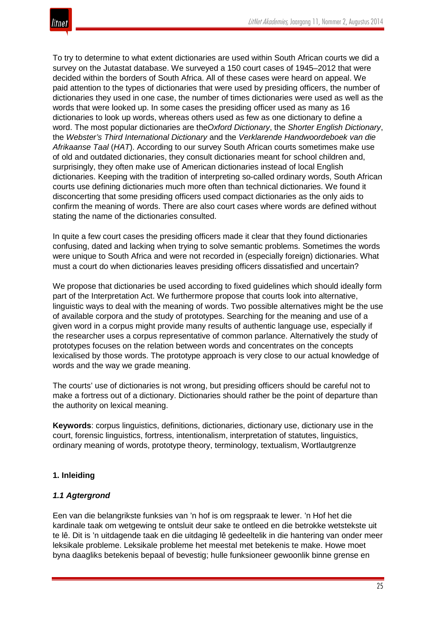To try to determine to what extent dictionaries are used within South African courts we did a survey on the Jutastat database. We surveyed a 150 court cases of 1945–2012 that were decided within the borders of South Africa. All of these cases were heard on appeal. We paid attention to the types of dictionaries that were used by presiding officers, the number of dictionaries they used in one case, the number of times dictionaries were used as well as the words that were looked up. In some cases the presiding officer used as many as 16 dictionaries to look up words, whereas others used as few as one dictionary to define a word. The most popular dictionaries are the*Oxford Dictionary*, the *Shorter English Dictionary*, the *Webster's Third International Dictionary* and the *Verklarende Handwoordeboek van die Afrikaanse Taal* (*HAT*). According to our survey South African courts sometimes make use of old and outdated dictionaries, they consult dictionaries meant for school children and, surprisingly, they often make use of American dictionaries instead of local English dictionaries. Keeping with the tradition of interpreting so-called ordinary words, South African courts use defining dictionaries much more often than technical dictionaries. We found it disconcerting that some presiding officers used compact dictionaries as the only aids to confirm the meaning of words. There are also court cases where words are defined without stating the name of the dictionaries consulted.

In quite a few court cases the presiding officers made it clear that they found dictionaries confusing, dated and lacking when trying to solve semantic problems. Sometimes the words were unique to South Africa and were not recorded in (especially foreign) dictionaries. What must a court do when dictionaries leaves presiding officers dissatisfied and uncertain?

We propose that dictionaries be used according to fixed guidelines which should ideally form part of the Interpretation Act. We furthermore propose that courts look into alternative, linguistic ways to deal with the meaning of words. Two possible alternatives might be the use of available corpora and the study of prototypes. Searching for the meaning and use of a given word in a corpus might provide many results of authentic language use, especially if the researcher uses a corpus representative of common parlance. Alternatively the study of prototypes focuses on the relation between words and concentrates on the concepts lexicalised by those words. The prototype approach is very close to our actual knowledge of words and the way we grade meaning.

The courts' use of dictionaries is not wrong, but presiding officers should be careful not to make a fortress out of a dictionary. Dictionaries should rather be the point of departure than the authority on lexical meaning.

**Keywords**: corpus linguistics, definitions, dictionaries, dictionary use, dictionary use in the court, forensic linguistics, fortress, intentionalism, interpretation of statutes, linguistics, ordinary meaning of words, prototype theory, terminology, textualism, Wortlautgrenze

# **1. Inleiding**

# *1.1 Agtergrond*

Een van die belangrikste funksies van 'n hof is om regspraak te lewer. 'n Hof het die kardinale taak om wetgewing te ontsluit deur sake te ontleed en die betrokke wetstekste uit te lê. Dit is 'n uitdagende taak en die uitdaging lê gedeeltelik in die hantering van onder meer leksikale probleme. Leksikale probleme het meestal met betekenis te make. Howe moet byna daagliks betekenis bepaal of bevestig; hulle funksioneer gewoonlik binne grense en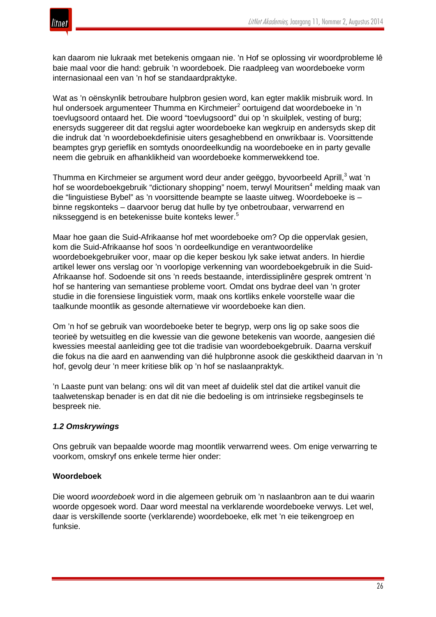

kan daarom nie lukraak met betekenis omgaan nie. 'n Hof se oplossing vir woordprobleme lê baie maal voor die hand: gebruik 'n woordeboek. Die raadpleeg van woordeboeke vorm internasionaal een van 'n hof se standaardpraktyke.

Wat as 'n oënskynlik betroubare hulpbron gesien word, kan egter maklik misbruik word. In hul ondersoek argumenteer Thumma en Kirchmeier<sup>2</sup> oortuigend dat woordeboeke in 'n toevlugsoord ontaard het. Die woord "toevlugsoord" dui op 'n skuilplek, vesting of burg; enersyds suggereer dit dat regslui agter woordeboeke kan wegkruip en andersyds skep dit die indruk dat 'n woordeboekdefinisie uiters gesaghebbend en onwrikbaar is. Voorsittende beamptes gryp gerieflik en somtyds onoordeelkundig na woordeboeke en in party gevalle neem die gebruik en afhanklikheid van woordeboeke kommerwekkend toe.

Thumma en Kirchmeier se argument word deur ander geëggo, byvoorbeeld Aprill,<sup>3</sup> wat 'n hof se woordeboekgebruik "dictionary shopping" noem, terwyl Mouritsen<sup>4</sup> melding maak van die "linguistiese Bybel" as 'n voorsittende beampte se laaste uitweg. Woordeboeke is – binne regskonteks – daarvoor berug dat hulle by tye onbetroubaar, verwarrend en niksseggend is en betekenisse buite konteks lewer.<sup>5</sup>

Maar hoe gaan die Suid-Afrikaanse hof met woordeboeke om? Op die oppervlak gesien, kom die Suid-Afrikaanse hof soos 'n oordeelkundige en verantwoordelike woordeboekgebruiker voor, maar op die keper beskou lyk sake ietwat anders. In hierdie artikel lewer ons verslag oor 'n voorlopige verkenning van woordeboekgebruik in die Suid-Afrikaanse hof. Sodoende sit ons 'n reeds bestaande, interdissiplinêre gesprek omtrent 'n hof se hantering van semantiese probleme voort. Omdat ons bydrae deel van 'n groter studie in die forensiese linguistiek vorm, maak ons kortliks enkele voorstelle waar die taalkunde moontlik as gesonde alternatiewe vir woordeboeke kan dien.

Om 'n hof se gebruik van woordeboeke beter te begryp, werp ons lig op sake soos die teorieë by wetsuitleg en die kwessie van die gewone betekenis van woorde, aangesien dié kwessies meestal aanleiding gee tot die tradisie van woordeboekgebruik. Daarna verskuif die fokus na die aard en aanwending van dié hulpbronne asook die geskiktheid daarvan in 'n hof, gevolg deur 'n meer kritiese blik op 'n hof se naslaanpraktyk.

'n Laaste punt van belang: ons wil dit van meet af duidelik stel dat die artikel vanuit die taalwetenskap benader is en dat dit nie die bedoeling is om intrinsieke regsbeginsels te bespreek nie.

# *1.2 Omskrywings*

Ons gebruik van bepaalde woorde mag moontlik verwarrend wees. Om enige verwarring te voorkom, omskryf ons enkele terme hier onder:

# **Woordeboek**

Die woord *woordeboek* word in die algemeen gebruik om 'n naslaanbron aan te dui waarin woorde opgesoek word. Daar word meestal na verklarende woordeboeke verwys. Let wel, daar is verskillende soorte (verklarende) woordeboeke, elk met 'n eie teikengroep en funksie.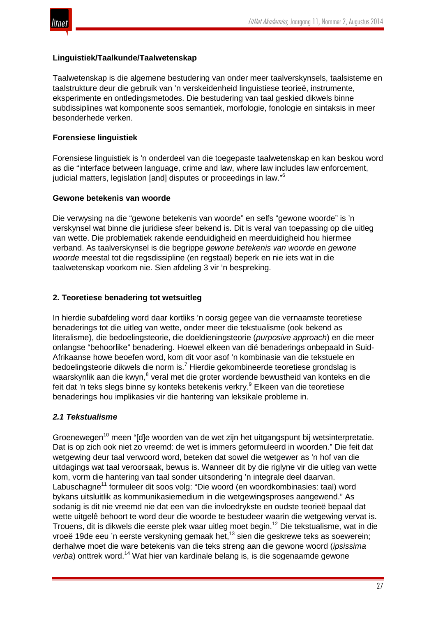



#### **Linguistiek/Taalkunde/Taalwetenskap**

Taalwetenskap is die algemene bestudering van onder meer taalverskynsels, taalsisteme en taalstrukture deur die gebruik van 'n verskeidenheid linguistiese teorieë, instrumente, eksperimente en ontledingsmetodes. Die bestudering van taal geskied dikwels binne subdissiplines wat komponente soos semantiek, morfologie, fonologie en sintaksis in meer besonderhede verken.

# **Forensiese linguistiek**

Forensiese linguistiek is 'n onderdeel van die toegepaste taalwetenskap en kan beskou word as die "interface between language, crime and law, where law includes law enforcement, judicial matters, legislation [and] disputes or proceedings in law."<sup>6</sup>

#### **Gewone betekenis van woorde**

Die verwysing na die "gewone betekenis van woorde" en selfs "gewone woorde" is 'n verskynsel wat binne die juridiese sfeer bekend is. Dit is veral van toepassing op die uitleg van wette. Die problematiek rakende eenduidigheid en meerduidigheid hou hiermee verband. As taalverskynsel is die begrippe *gewone betekenis van woorde* en *gewone woorde* meestal tot die regsdissipline (en regstaal) beperk en nie iets wat in die taalwetenskap voorkom nie. Sien afdeling 3 vir 'n bespreking.

# **2. Teoretiese benadering tot wetsuitleg**

In hierdie subafdeling word daar kortliks 'n oorsig gegee van die vernaamste teoretiese benaderings tot die uitleg van wette, onder meer die tekstualisme (ook bekend as literalisme), die bedoelingsteorie, die doeldieningsteorie (*purposive approach*) en die meer onlangse "behoorlike" benadering. Hoewel elkeen van dié benaderings onbepaald in Suid-Afrikaanse howe beoefen word, kom dit voor asof 'n kombinasie van die tekstuele en bedoelingsteorie dikwels die norm is.<sup>7</sup> Hierdie gekombineerde teoretiese grondslag is waarskynlik aan die kwyn,<sup>8</sup> veral met die groter wordende bewustheid van konteks en die feit dat 'n teks slegs binne sy konteks betekenis verkry.<sup>9</sup> Elkeen van die teoretiese benaderings hou implikasies vir die hantering van leksikale probleme in.

# *2.1 Tekstualisme*

Groenewegen<sup>10</sup> meen "[d]e woorden van de wet zijn het uitgangspunt bij wetsinterpretatie. Dat is op zich ook niet zo vreemd: de wet is immers geformuleerd in woorden." Die feit dat wetgewing deur taal verwoord word, beteken dat sowel die wetgewer as 'n hof van die uitdagings wat taal veroorsaak, bewus is. Wanneer dit by die riglyne vir die uitleg van wette kom, vorm die hantering van taal sonder uitsondering 'n integrale deel daarvan. Labuschagne<sup>11</sup> formuleer dit soos volg: "Die woord (en woordkombinasies: taal) word bykans uitsluitlik as kommunikasiemedium in die wetgewingsproses aangewend." As sodanig is dit nie vreemd nie dat een van die invloedrykste en oudste teorieë bepaal dat wette uitgelê behoort te word deur die woorde te bestudeer waarin die wetgewing vervat is. Trouens, dit is dikwels die eerste plek waar uitleg moet begin.<sup>12</sup> Die tekstualisme, wat in die vroeë 19de eeu 'n eerste verskyning gemaak het,<sup>13</sup> sien die geskrewe teks as soewerein; derhalwe moet die ware betekenis van die teks streng aan die gewone woord (*ipsissima verba*) onttrek word.<sup>14</sup> Wat hier van kardinale belang is, is die sogenaamde gewone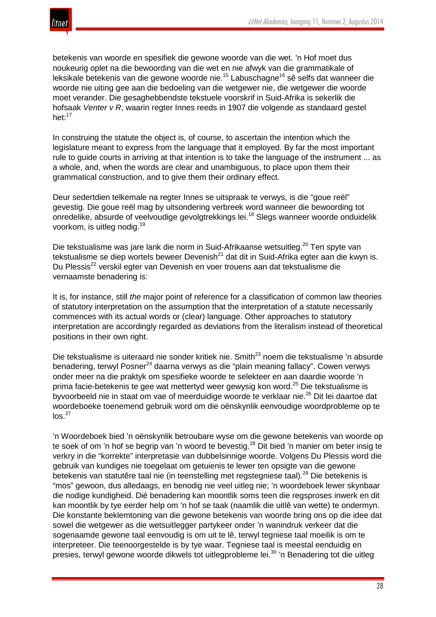

betekenis van woorde en spesifiek die gewone woorde van die wet. 'n Hof moet dus noukeurig oplet na die bewoording van die wet en nie afwyk van die grammatikale of leksikale betekenis van die gewone woorde nie.<sup>15</sup> Labuschagne<sup>16</sup> sê selfs dat wanneer die woorde nie uiting gee aan die bedoeling van die wetgewer nie, die wetgewer die woorde moet verander. Die gesaghebbendste tekstuele voorskrif in Suid-Afrika is sekerlik die hofsaak *Venter v R*, waarin regter Innes reeds in 1907 die volgende as standaard gestel het:<sup>17</sup>

In construing the statute the object is, of course, to ascertain the intention which the legislature meant to express from the language that it employed. By far the most important rule to guide courts in arriving at that intention is to take the language of the instrument ... as a whole, and, when the words are clear and unambiguous, to place upon them their grammatical construction, and to give them their ordinary effect.

Deur sedertdien telkemale na regter Innes se uitspraak te verwys, is die "goue reël" gevestig. Die goue reël mag by uitsondering verbreek word wanneer die bewoording tot onredelike, absurde of veelvoudige gevolgtrekkings lei.<sup>18</sup> Slegs wanneer woorde onduidelik voorkom, is uitleg nodig.<sup>19</sup>

Die tekstualisme was jare lank die norm in Suid-Afrikaanse wetsuitleg.<sup>20</sup> Ten spyte van tekstualisme se diep wortels beweer Devenish $^{21}$  dat dit in Suid-Afrika egter aan die kwyn is. Du Plessis<sup>22</sup> verskil egter van Devenish en voer trouens aan dat tekstualisme die vernaamste benadering is:

It is, for instance, still *the* major point of reference for a classification of common law theories of statutory interpretation on the assumption that the interpretation of a statute necessarily commences with its actual words or (clear) language. Other approaches to statutory interpretation are accordingly regarded as deviations from the literalism instead of theoretical positions in their own right.

Die tekstualisme is uiteraard nie sonder kritiek nie. Smith<sup>23</sup> noem die tekstualisme 'n absurde benadering, terwyl Posner $^{24}$  daarna verwys as die "plain meaning fallacy". Cowen verwys onder meer na die praktyk om spesifieke woorde te selekteer en aan daardie woorde 'n prima facie-betekenis te gee wat mettertyd weer gewysig kon word.<sup>25</sup> Die tekstualisme is byvoorbeeld nie in staat om vae of meerduidige woorde te verklaar nie.<sup>26</sup> Dit lei daartoe dat woordeboeke toenemend gebruik word om die oënskynlik eenvoudige woordprobleme op te  $\log^{27}$ 

'n Woordeboek bied 'n oënskynlik betroubare wyse om die gewone betekenis van woorde op te soek of om 'n hof se begrip van 'n woord te bevestig.<sup>28</sup> Dit bied 'n manier om beter insig te verkry in die "korrekte" interpretasie van dubbelsinnige woorde. Volgens Du Plessis word die gebruik van kundiges nie toegelaat om getuienis te lewer ten opsigte van die gewone betekenis van statutêre taal nie (in teenstelling met regstegniese taal).<sup>29</sup> Die betekenis is "mos" gewoon, dus alledaags, en benodig nie veel uitleg nie; 'n woordeboek lewer skynbaar die nodige kundigheid. Dié benadering kan moontlik soms teen die regsproses inwerk en dit kan moontlik by tye eerder help om 'n hof se taak (naamlik die uitlê van wette) te ondermyn. Die konstante beklemtoning van die gewone betekenis van woorde bring ons op die idee dat sowel die wetgewer as die wetsuitlegger partykeer onder 'n wanindruk verkeer dat die sogenaamde gewone taal eenvoudig is om uit te lê, terwyl tegniese taal moeilik is om te interpreteer. Die teenoorgestelde is by tye waar. Tegniese taal is meestal eenduidig en presies, terwyl gewone woorde dikwels tot uitlegprobleme lei.<sup>30</sup> 'n Benadering tot die uitleg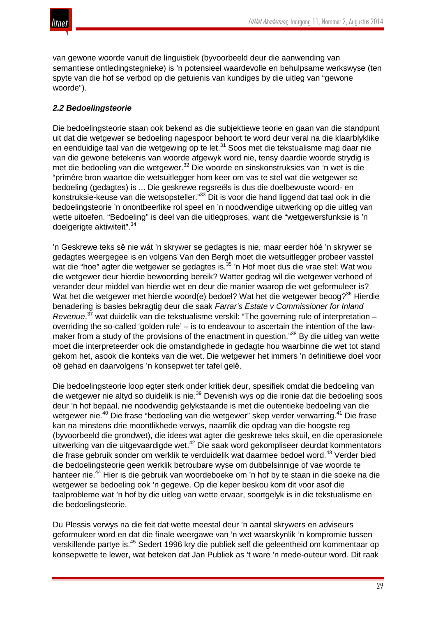

van gewone woorde vanuit die linguistiek (byvoorbeeld deur die aanwending van semantiese ontledingstegnieke) is 'n potensieel waardevolle en behulpsame werkswyse (ten spyte van die hof se verbod op die getuienis van kundiges by die uitleg van "gewone woorde").

# *2.2 Bedoelingsteorie*

Die bedoelingsteorie staan ook bekend as die subjektiewe teorie en gaan van die standpunt uit dat die wetgewer se bedoeling nagespoor behoort te word deur veral na die klaarblyklike en eenduidige taal van die wetgewing op te let.<sup>31</sup> Soos met die tekstualisme mag daar nie van die gewone betekenis van woorde afgewyk word nie, tensy daardie woorde strydig is met die bedoeling van die wetgewer.<sup>32</sup> Die woorde en sinskonstruksies van 'n wet is die "primêre bron waartoe die wetsuitlegger hom keer om vas te stel wat die wetgewer se bedoeling (gedagtes) is ... Die geskrewe regsreëls is dus die doelbewuste woord- en konstruksie-keuse van die wetsopsteller."<sup>33</sup> Dit is voor die hand liggend dat taal ook in die bedoelingsteorie 'n onontbeerlike rol speel en 'n noodwendige uitwerking op die uitleg van wette uitoefen. "Bedoeling" is deel van die uitlegproses, want die "wetgewersfunksie is 'n doelgerigte aktiwiteit".<sup>34</sup>

'n Geskrewe teks sê nie wát 'n skrywer se gedagtes is nie, maar eerder hóé 'n skrywer se gedagtes weergegee is en volgens Van den Bergh moet die wetsuitlegger probeer vasstel wat die "hoe" agter die wetgewer se gedagtes is.<sup>35</sup> 'n Hof moet dus die vrae stel: Wat wou die wetgewer deur hierdie bewoording bereik? Watter gedrag wil die wetgewer verhoed of verander deur middel van hierdie wet en deur die manier waarop die wet geformuleer is? Wat het die wetgewer met hierdie woord(e) bedoel? Wat het die wetgewer beoog?<sup>36</sup> Hierdie benadering is basies bekragtig deur die saak *Farrar's Estate v Commissioner for Inland Revenue*, <sup>37</sup> wat duidelik van die tekstualisme verskil: "The governing rule of interpretation – overriding the so-called 'golden rule' – is to endeavour to ascertain the intention of the lawmaker from a study of the provisions of the enactment in question."<sup>38</sup> By die uitleg van wette moet die interpreteerder ook die omstandighede in gedagte hou waarbinne die wet tot stand gekom het, asook die konteks van die wet. Die wetgewer het immers 'n definitiewe doel voor oë gehad en daarvolgens 'n konsepwet ter tafel gelê.

Die bedoelingsteorie loop egter sterk onder kritiek deur, spesifiek omdat die bedoeling van die wetgewer nie altyd so duidelik is nie.<sup>39</sup> Devenish wys op die ironie dat die bedoeling soos deur 'n hof bepaal, nie noodwendig gelykstaande is met die outentieke bedoeling van die wetgewer nie.<sup>40</sup> Die frase "bedoeling van die wetgewer" skep verder verwarring.<sup>41</sup> Die frase kan na minstens drie moontlikhede verwys, naamlik die opdrag van die hoogste reg (byvoorbeeld die grondwet), die idees wat agter die geskrewe teks skuil, en die operasionele uitwerking van die uitgevaardigde wet.<sup>42</sup> Die saak word gekompliseer deurdat kommentators die frase gebruik sonder om werklik te verduidelik wat daarmee bedoel word.<sup>43</sup> Verder bied die bedoelingsteorie geen werklik betroubare wyse om dubbelsinnige of vae woorde te hanteer nie.<sup>44</sup> Hier is die gebruik van woordeboeke om 'n hof by te staan in die soeke na die wetgewer se bedoeling ook 'n gegewe. Op die keper beskou kom dit voor asof die taalprobleme wat 'n hof by die uitleg van wette ervaar, soortgelyk is in die tekstualisme en die bedoelingsteorie.

Du Plessis verwys na die feit dat wette meestal deur 'n aantal skrywers en adviseurs geformuleer word en dat die finale weergawe van 'n wet waarskynlik 'n kompromie tussen verskillende partye is.<sup>45</sup> Sedert 1996 kry die publiek self die geleentheid om kommentaar op konsepwette te lewer, wat beteken dat Jan Publiek as 't ware 'n mede-outeur word. Dit raak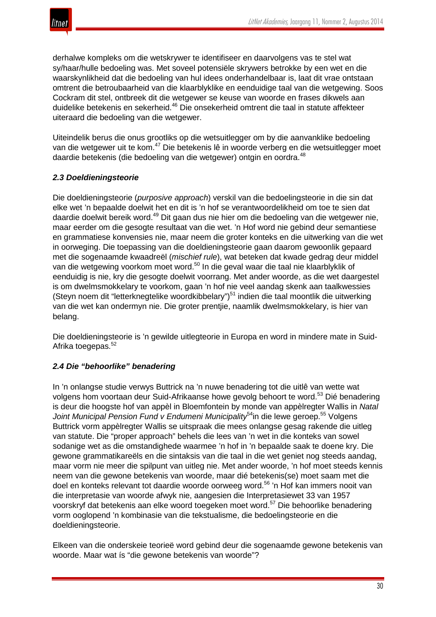

derhalwe kompleks om die wetskrywer te identifiseer en daarvolgens vas te stel wat sy/haar/hulle bedoeling was. Met soveel potensiële skrywers betrokke by een wet en die waarskynlikheid dat die bedoeling van hul idees onderhandelbaar is, laat dit vrae ontstaan omtrent die betroubaarheid van die klaarblyklike en eenduidige taal van die wetgewing. Soos Cockram dit stel, ontbreek dit die wetgewer se keuse van woorde en frases dikwels aan duidelike betekenis en sekerheid.<sup>46</sup> Die onsekerheid omtrent die taal in statute affekteer uiteraard die bedoeling van die wetgewer.

Uiteindelik berus die onus grootliks op die wetsuitlegger om by die aanvanklike bedoeling van die wetgewer uit te kom.<sup>47</sup> Die betekenis lê in woorde verberg en die wetsuitlegger moet daardie betekenis (die bedoeling van die wetgewer) ontgin en oordra.<sup>48</sup>

# *2.3 Doeldieningsteorie*

Die doeldieningsteorie (*purposive approach*) verskil van die bedoelingsteorie in die sin dat elke wet 'n bepaalde doelwit het en dit is 'n hof se verantwoordelikheid om toe te sien dat daardie doelwit bereik word.<sup>49</sup> Dit gaan dus nie hier om die bedoeling van die wetgewer nie, maar eerder om die gesogte resultaat van die wet. 'n Hof word nie gebind deur semantiese en grammatiese konvensies nie, maar neem die groter konteks en die uitwerking van die wet in oorweging. Die toepassing van die doeldieningsteorie gaan daarom gewoonlik gepaard met die sogenaamde kwaadreël (*mischief rule*), wat beteken dat kwade gedrag deur middel van die wetgewing voorkom moet word.<sup>50</sup> In die geval waar die taal nie klaarblyklik of eenduidig is nie, kry die gesogte doelwit voorrang. Met ander woorde, as die wet daargestel is om dwelmsmokkelary te voorkom, gaan 'n hof nie veel aandag skenk aan taalkwessies (Steyn noem dit "letterknegtelike woordkibbelary")<sup>51</sup> indien die taal moontlik die uitwerking van die wet kan ondermyn nie. Die groter prentjie, naamlik dwelmsmokkelary, is hier van belang.

Die doeldieningsteorie is 'n gewilde uitlegteorie in Europa en word in mindere mate in Suid-Afrika toegepas.<sup>52</sup>

# *2.4 Die "behoorlike" benadering*

In 'n onlangse studie verwys Buttrick na 'n nuwe benadering tot die uitlê van wette wat volgens hom voortaan deur Suid-Afrikaanse howe gevolg behoort te word.<sup>53</sup> Dié benadering is deur die hoogste hof van appèl in Bloemfontein by monde van appèlregter Wallis in *Natal Joint Municipal Pension Fund v Endumeni Municipality*54in die lewe geroep.55 Volgens Buttrick vorm appèlregter Wallis se uitspraak die mees onlangse gesag rakende die uitleg van statute. Die "proper approach" behels die lees van 'n wet in die konteks van sowel sodanige wet as die omstandighede waarmee 'n hof in 'n bepaalde saak te doene kry. Die gewone grammatikareëls en die sintaksis van die taal in die wet geniet nog steeds aandag, maar vorm nie meer die spilpunt van uitleg nie. Met ander woorde, 'n hof moet steeds kennis neem van die gewone betekenis van woorde, maar dié betekenis(se) moet saam met die doel en konteks relevant tot daardie woorde oorweeg word.<sup>56</sup> 'n Hof kan immers nooit van die interpretasie van woorde afwyk nie, aangesien die Interpretasiewet 33 van 1957 voorskryf dat betekenis aan elke woord toegeken moet word.<sup>57</sup> Die behoorlike benadering vorm ooglopend 'n kombinasie van die tekstualisme, die bedoelingsteorie en die doeldieningsteorie.

Elkeen van die onderskeie teorieë word gebind deur die sogenaamde gewone betekenis van woorde. Maar wat ís "die gewone betekenis van woorde"?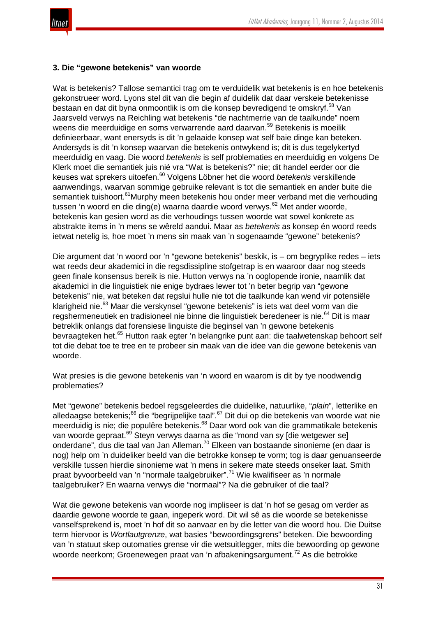

#### **3. Die "gewone betekenis" van woorde**

Wat is betekenis? Tallose semantici trag om te verduidelik wat betekenis is en hoe betekenis gekonstrueer word. Lyons stel dit van die begin af duidelik dat daar verskeie betekenisse bestaan en dat dit byna onmoontlik is om die konsep bevredigend te omskryf.<sup>58</sup> Van Jaarsveld verwys na Reichling wat betekenis "de nachtmerrie van de taalkunde" noem weens die meerduidige en soms verwarrende aard daarvan.<sup>59</sup> Betekenis is moeilik definieerbaar, want enersyds is dit 'n gelaaide konsep wat self baie dinge kan beteken. Andersyds is dit 'n konsep waarvan die betekenis ontwykend is; dit is dus tegelykertyd meerduidig en vaag. Die woord *betekenis* is self problematies en meerduidig en volgens De Klerk moet die semantiek juis nié vra "Wat is betekenis?" nie; dit handel eerder oor die keuses wat sprekers uitoefen.<sup>60</sup> Volgens Löbner het die woord *betekenis* verskillende aanwendings, waarvan sommige gebruike relevant is tot die semantiek en ander buite die semantiek tuishoort.<sup>61</sup>Murphy meen betekenis hou onder meer verband met die verhouding tussen 'n woord en die ding(e) waarna daardie woord verwys.<sup>62</sup> Met ander woorde, betekenis kan gesien word as die verhoudings tussen woorde wat sowel konkrete as abstrakte items in 'n mens se wêreld aandui. Maar as *betekenis* as konsep én woord reeds ietwat netelig is, hoe moet 'n mens sin maak van 'n sogenaamde "gewone" betekenis?

Die argument dat 'n woord oor 'n "gewone betekenis" beskik, is – om begryplike redes – iets wat reeds deur akademici in die regsdissipline stofgetrap is en waaroor daar nog steeds geen finale konsensus bereik is nie. Hutton verwys na 'n ooglopende ironie, naamlik dat akademici in die linguistiek nie enige bydraes lewer tot 'n beter begrip van "gewone betekenis" nie, wat beteken dat regslui hulle nie tot die taalkunde kan wend vir potensiële klarigheid nie.<sup>63</sup> Maar die verskynsel "gewone betekenis" is iets wat deel vorm van die regshermeneutiek en tradisioneel nie binne die linguistiek beredeneer is nie.<sup>64</sup> Dit is maar betreklik onlangs dat forensiese linguiste die beginsel van 'n gewone betekenis bevraagteken het.<sup>65</sup> Hutton raak egter 'n belangrike punt aan: die taalwetenskap behoort self tot die debat toe te tree en te probeer sin maak van die idee van die gewone betekenis van woorde.

Wat presies is die gewone betekenis van 'n woord en waarom is dit by tye noodwendig problematies?

Met "gewone" betekenis bedoel regsgeleerdes die duidelike, natuurlike, "*plain*", letterlike en alledaagse betekenis;<sup>66</sup> die "begrijpelijke taal".<sup>67</sup> Dit dui op die betekenis van woorde wat nie meerduidig is nie; die populêre betekenis.<sup>68</sup> Daar word ook van die grammatikale betekenis van woorde gepraat.<sup>69</sup> Steyn verwys daarna as die "mond van sy [die wetgewer se] onderdane", dus die taal van Jan Alleman.<sup>70</sup> Elkeen van bostaande sinonieme (en daar is nog) help om 'n duideliker beeld van die betrokke konsep te vorm; tog is daar genuanseerde verskille tussen hierdie sinonieme wat 'n mens in sekere mate steeds onseker laat. Smith praat byvoorbeeld van 'n "normale taalgebruiker".<sup>71</sup> Wie kwalifiseer as 'n normale taalgebruiker? En waarna verwys die "normaal"? Na die gebruiker of die taal?

Wat die gewone betekenis van woorde nog impliseer is dat 'n hof se gesag om verder as daardie gewone woorde te gaan, ingeperk word. Dit wil sê as die woorde se betekenisse vanselfsprekend is, moet 'n hof dit so aanvaar en by die letter van die woord hou. Die Duitse term hiervoor is *Wortlautgrenze*, wat basies "bewoordingsgrens" beteken. Die bewoording van 'n statuut skep outomaties grense vir die wetsuitlegger, mits die bewoording op gewone woorde neerkom; Groenewegen praat van 'n afbakeningsargument.<sup>72</sup> As die betrokke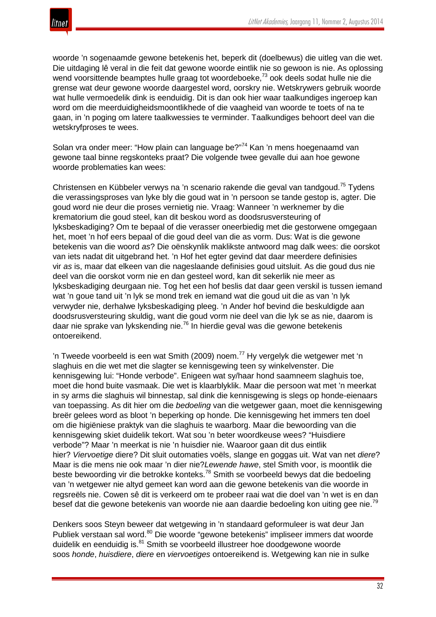

woorde 'n sogenaamde gewone betekenis het, beperk dit (doelbewus) die uitleg van die wet. Die uitdaging lê veral in die feit dat gewone woorde eintlik nie so gewoon is nie. As oplossing wend voorsittende beamptes hulle graag tot woordeboeke,<sup>73</sup> ook deels sodat hulle nie die grense wat deur gewone woorde daargestel word, oorskry nie. Wetskrywers gebruik woorde wat hulle vermoedelik dink is eenduidig. Dit is dan ook hier waar taalkundiges ingeroep kan word om die meerduidigheidsmoontlikhede of die vaagheid van woorde te toets of na te gaan, in 'n poging om latere taalkwessies te verminder. Taalkundiges behoort deel van die wetskryfproses te wees.

Solan vra onder meer: "How plain can language be?"<sup>74</sup> Kan 'n mens hoegenaamd van gewone taal binne regskonteks praat? Die volgende twee gevalle dui aan hoe gewone woorde problematies kan wees:

Christensen en Kübbeler verwys na 'n scenario rakende die geval van tandgoud.<sup>75</sup> Tydens die verassingsproses van lyke bly die goud wat in 'n persoon se tande gestop is, agter. Die goud word nie deur die proses vernietig nie. Vraag: Wanneer 'n werknemer by die krematorium die goud steel, kan dit beskou word as doodsrusversteuring of lyksbeskadiging? Om te bepaal of die verasser oneerbiedig met die gestorwene omgegaan het, moet 'n hof eers bepaal of die goud deel van die as vorm. Dus: Wat is die gewone betekenis van die woord *as*? Die oënskynlik maklikste antwoord mag dalk wees: die oorskot van iets nadat dit uitgebrand het. 'n Hof het egter gevind dat daar meerdere definisies vir *as* is, maar dat elkeen van die nageslaande definisies goud uitsluit. As die goud dus nie deel van die oorskot vorm nie en dan gesteel word, kan dit sekerlik nie meer as lyksbeskadiging deurgaan nie. Tog het een hof beslis dat daar geen verskil is tussen iemand wat 'n goue tand uit 'n lyk se mond trek en iemand wat die goud uit die as van 'n lyk verwyder nie, derhalwe lyksbeskadiging pleeg. 'n Ander hof bevind die beskuldigde aan doodsrusversteuring skuldig, want die goud vorm nie deel van die lyk se as nie, daarom is daar nie sprake van lykskending nie.<sup>76</sup> In hierdie geval was die gewone betekenis ontoereikend.

'n Tweede voorbeeld is een wat Smith (2009) noem.<sup>77</sup> Hy vergelyk die wetgewer met 'n slaghuis en die wet met die slagter se kennisgewing teen sy winkelvenster. Die kennisgewing lui: "Honde verbode". Enigeen wat sy/haar hond saamneem slaghuis toe, moet die hond buite vasmaak. Die wet is klaarblyklik. Maar die persoon wat met 'n meerkat in sy arms die slaghuis wil binnestap, sal dink die kennisgewing is slegs op honde-eienaars van toepassing. As dit hier om die *bedoeling* van die wetgewer gaan, moet die kennisgewing breër gelees word as bloot 'n beperking op honde. Die kennisgewing het immers ten doel om die higiëniese praktyk van die slaghuis te waarborg. Maar die bewoording van die kennisgewing skiet duidelik tekort. Wat sou 'n beter woordkeuse wees? "Huisdiere verbode"? Maar 'n meerkat is nie 'n huisdier nie. Waaroor gaan dit dus eintlik hier? *Viervoetige* diere? Dit sluit outomaties voëls, slange en goggas uit. Wat van net *diere*? Maar is die mens nie ook maar 'n dier nie?*Lewende hawe*, stel Smith voor, is moontlik die beste bewoording vir die betrokke konteks.<sup>78</sup> Smith se voorbeeld bewys dat die bedoeling van 'n wetgewer nie altyd gemeet kan word aan die gewone betekenis van die woorde in regsreëls nie. Cowen sê dit is verkeerd om te probeer raai wat die doel van 'n wet is en dan besef dat die gewone betekenis van woorde nie aan daardie bedoeling kon uiting gee nie.<sup>79</sup>

Denkers soos Steyn beweer dat wetgewing in 'n standaard geformuleer is wat deur Jan Publiek verstaan sal word.<sup>80</sup> Die woorde "gewone betekenis" impliseer immers dat woorde duidelik en eenduidig is.<sup>81</sup> Smith se voorbeeld illustreer hoe doodgewone woorde soos *honde*, *huisdiere*, *diere* en *viervoetiges* ontoereikend is. Wetgewing kan nie in sulke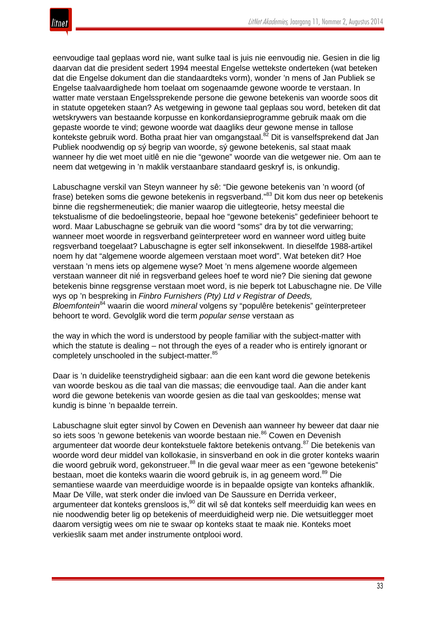

eenvoudige taal geplaas word nie, want sulke taal is juis nie eenvoudig nie. Gesien in die lig daarvan dat die president sedert 1994 meestal Engelse wettekste onderteken (wat beteken dat die Engelse dokument dan die standaardteks vorm), wonder 'n mens of Jan Publiek se Engelse taalvaardighede hom toelaat om sogenaamde gewone woorde te verstaan. In watter mate verstaan Engelssprekende persone die gewone betekenis van woorde soos dit in statute opgeteken staan? As wetgewing in gewone taal geplaas sou word, beteken dit dat wetskrywers van bestaande korpusse en konkordansieprogramme gebruik maak om die gepaste woorde te vind; gewone woorde wat daagliks deur gewone mense in tallose kontekste gebruik word. Botha praat hier van omgangstaal.<sup>82</sup> Dit is vanselfsprekend dat Jan Publiek noodwendig op sý begrip van woorde, sý gewone betekenis, sal staat maak wanneer hy die wet moet uitlê en nie die "gewone" woorde van die wetgewer nie. Om aan te neem dat wetgewing in 'n maklik verstaanbare standaard geskryf is, is onkundig.

Labuschagne verskil van Steyn wanneer hy sê: "Die gewone betekenis van 'n woord (of frase) beteken soms die gewone betekenis in regsverband."<sup>83</sup> Dit kom dus neer op betekenis binne die regshermeneutiek; die manier waarop die uitlegteorie, hetsy meestal die tekstualisme of die bedoelingsteorie, bepaal hoe "gewone betekenis" gedefinieer behoort te word. Maar Labuschagne se gebruik van die woord "soms" dra by tot die verwarring; wanneer moet woorde in regsverband geïnterpreteer word en wanneer word uitleg buite regsverband toegelaat? Labuschagne is egter self inkonsekwent. In dieselfde 1988-artikel noem hy dat "algemene woorde algemeen verstaan moet word". Wat beteken dit? Hoe verstaan 'n mens iets op algemene wyse? Moet 'n mens algemene woorde algemeen verstaan wanneer dit nié in regsverband gelees hoef te word nie? Die siening dat gewone betekenis binne regsgrense verstaan moet word, is nie beperk tot Labuschagne nie. De Ville wys op 'n bespreking in *Finbro Furnishers (Pty) Ltd v Registrar of Deeds, Bloemfontein*<sup>84</sup> waarin die woord *mineral* volgens sy "populêre betekenis" geïnterpreteer behoort te word. Gevolglik word die term *popular sense* verstaan as

the way in which the word is understood by people familiar with the subject-matter with which the statute is dealing – not through the eyes of a reader who is entirely ignorant or completely unschooled in the subject-matter.<sup>85</sup>

Daar is 'n duidelike teenstrydigheid sigbaar: aan die een kant word die gewone betekenis van woorde beskou as die taal van die massas; die eenvoudige taal. Aan die ander kant word die gewone betekenis van woorde gesien as die taal van geskooldes; mense wat kundig is binne 'n bepaalde terrein.

Labuschagne sluit egter sinvol by Cowen en Devenish aan wanneer hy beweer dat daar nie so iets soos 'n gewone betekenis van woorde bestaan nie.<sup>86</sup> Cowen en Devenish argumenteer dat woorde deur kontekstuele faktore betekenis ontvang.<sup>87</sup> Die betekenis van woorde word deur middel van kollokasie, in sinsverband en ook in die groter konteks waarin die woord gebruik word, gekonstrueer.<sup>88</sup> In die geval waar meer as een "gewone betekenis" bestaan, moet die konteks waarin die woord gebruik is, in ag geneem word.<sup>89</sup> Die semantiese waarde van meerduidige woorde is in bepaalde opsigte van konteks afhanklik. Maar De Ville, wat sterk onder die invloed van De Saussure en Derrida verkeer, argumenteer dat konteks grensloos is, $90$  dit wil sê dat konteks self meerduidig kan wees en nie noodwendig beter lig op betekenis of meerduidigheid werp nie. Die wetsuitlegger moet daarom versigtig wees om nie te swaar op konteks staat te maak nie. Konteks moet verkieslik saam met ander instrumente ontplooi word.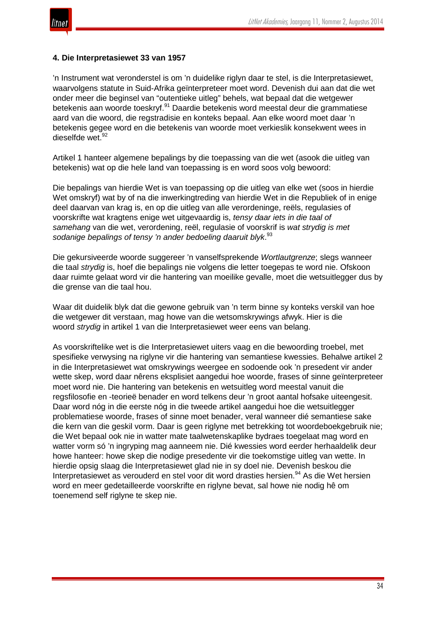

#### **4. Die Interpretasiewet 33 van 1957**

'n Instrument wat veronderstel is om 'n duidelike riglyn daar te stel, is die Interpretasiewet, waarvolgens statute in Suid-Afrika geïnterpreteer moet word. Devenish dui aan dat die wet onder meer die beginsel van "outentieke uitleg" behels, wat bepaal dat die wetgewer betekenis aan woorde toeskryf.<sup>91</sup> Daardie betekenis word meestal deur die grammatiese aard van die woord, die regstradisie en konteks bepaal. Aan elke woord moet daar 'n betekenis gegee word en die betekenis van woorde moet verkieslik konsekwent wees in dieselfde wet. 92

Artikel 1 hanteer algemene bepalings by die toepassing van die wet (asook die uitleg van betekenis) wat op die hele land van toepassing is en word soos volg bewoord:

Die bepalings van hierdie Wet is van toepassing op die uitleg van elke wet (soos in hierdie Wet omskryf) wat by of na die inwerkingtreding van hierdie Wet in die Republiek of in enige deel daarvan van krag is, en op die uitleg van alle verordeninge, reëls, regulasies of voorskrifte wat kragtens enige wet uitgevaardig is, *tensy daar iets in die taal of samehang* van die wet, verordening, reël, regulasie of voorskrif is *wat strydig is met sodanige bepalings of tensy 'n ander bedoeling daaruit blyk*. 93

Die gekursiveerde woorde suggereer 'n vanselfsprekende *Wortlautgrenze*; slegs wanneer die taal *strydig* is, hoef die bepalings nie volgens die letter toegepas te word nie. Ofskoon daar ruimte gelaat word vir die hantering van moeilike gevalle, moet die wetsuitlegger dus by die grense van die taal hou.

Waar dit duidelik blyk dat die gewone gebruik van 'n term binne sy konteks verskil van hoe die wetgewer dit verstaan, mag howe van die wetsomskrywings afwyk. Hier is die woord *strydig* in artikel 1 van die Interpretasiewet weer eens van belang.

As voorskriftelike wet is die Interpretasiewet uiters vaag en die bewoording troebel, met spesifieke verwysing na riglyne vir die hantering van semantiese kwessies. Behalwe artikel 2 in die Interpretasiewet wat omskrywings weergee en sodoende ook 'n presedent vir ander wette skep, word daar nêrens eksplisiet aangedui hoe woorde, frases of sinne geïnterpreteer moet word nie. Die hantering van betekenis en wetsuitleg word meestal vanuit die regsfilosofie en -teorieë benader en word telkens deur 'n groot aantal hofsake uiteengesit. Daar word nóg in die eerste nóg in die tweede artikel aangedui hoe die wetsuitlegger problematiese woorde, frases of sinne moet benader, veral wanneer dié semantiese sake die kern van die geskil vorm. Daar is geen riglyne met betrekking tot woordeboekgebruik nie; die Wet bepaal ook nie in watter mate taalwetenskaplike bydraes toegelaat mag word en watter vorm só 'n ingryping mag aanneem nie. Dié kwessies word eerder herhaaldelik deur howe hanteer: howe skep die nodige presedente vir die toekomstige uitleg van wette. In hierdie opsig slaag die Interpretasiewet glad nie in sy doel nie. Devenish beskou die Interpretasiewet as verouderd en stel voor dit word drasties hersien.<sup>94</sup> As die Wet hersien word en meer gedetailleerde voorskrifte en riglyne bevat, sal howe nie nodig hê om toenemend self riglyne te skep nie.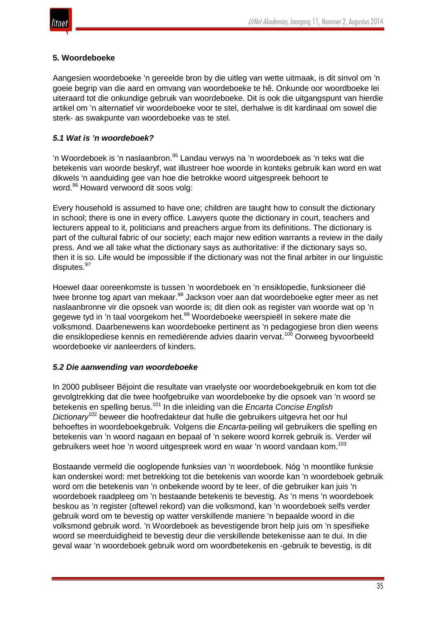# **5. Woordeboeke**

Aangesien woordeboeke 'n gereelde bron by die uitleg van wette uitmaak, is dit sinvol om 'n goeie begrip van die aard en omvang van woordeboeke te hê. Onkunde oor woordboeke lei uiteraard tot die onkundige gebruik van woordeboeke. Dit is ook die uitgangspunt van hierdie artikel om 'n alternatief vir woordeboeke voor te stel, derhalwe is dit kardinaal om sowel die sterk- as swakpunte van woordeboeke vas te stel.

# *5.1 Wat is 'n woordeboek?*

'n Woordeboek is 'n naslaanbron.<sup>95</sup> Landau verwys na 'n woordeboek as 'n teks wat die betekenis van woorde beskryf, wat illustreer hoe woorde in konteks gebruik kan word en wat dikwels 'n aanduiding gee van hoe die betrokke woord uitgespreek behoort te word.<sup>96</sup> Howard verwoord dit soos volg:

Every household is assumed to have one; children are taught how to consult the dictionary in school; there is one in every office. Lawyers quote the dictionary in court, teachers and lecturers appeal to it, politicians and preachers argue from its definitions. The dictionary is part of the cultural fabric of our society; each major new edition warrants a review in the daily press. And we all take what the dictionary says as authoritative: if the dictionary says so, then it is so. Life would be impossible if the dictionary was not the final arbiter in our linguistic disputes.<sup>97</sup>

Hoewel daar ooreenkomste is tussen 'n woordeboek en 'n ensiklopedie, funksioneer dié twee bronne tog apart van mekaar.<sup>98</sup> Jackson voer aan dat woordeboeke egter meer as net naslaanbronne vir die opsoek van woorde is; dit dien ook as register van woorde wat op 'n gegewe tyd in 'n taal voorgekom het.<sup>99</sup> Woordeboeke weerspieël in sekere mate die volksmond. Daarbenewens kan woordeboeke pertinent as 'n pedagogiese bron dien weens die ensiklopediese kennis en remediërende advies daarin vervat.<sup>100</sup> Oorweeg byvoorbeeld woordeboeke vir aanleerders of kinders.

# *5.2 Die aanwending van woordeboeke*

In 2000 publiseer Béjoint die resultate van vraelyste oor woordeboekgebruik en kom tot die gevolgtrekking dat die twee hoofgebruike van woordeboeke by die opsoek van 'n woord se betekenis en spelling berus.<sup>101</sup> In die inleiding van die *Encarta Concise English Dictionary*<sup>102</sup> beweer die hoofredakteur dat hulle die gebruikers uitgevra het oor hul behoeftes in woordeboekgebruik. Volgens die *Encarta*-peiling wil gebruikers die spelling en betekenis van 'n woord nagaan en bepaal of 'n sekere woord korrek gebruik is. Verder wil gebruikers weet hoe 'n woord uitgespreek word en waar 'n woord vandaan kom.<sup>103</sup>

Bostaande vermeld die ooglopende funksies van 'n woordeboek. Nóg 'n moontlike funksie kan onderskei word: met betrekking tot die betekenis van woorde kan 'n woordeboek gebruik word om die betekenis van 'n onbekende woord by te leer, of die gebruiker kan juis 'n woordeboek raadpleeg om 'n bestaande betekenis te bevestig. As 'n mens 'n woordeboek beskou as 'n register (oftewel rekord) van die volksmond, kan 'n woordeboek selfs verder gebruik word om te bevestig op watter verskillende maniere 'n bepaalde woord in die volksmond gebruik word. 'n Woordeboek as bevestigende bron help juis om 'n spesifieke woord se meerduidigheid te bevestig deur die verskillende betekenisse aan te dui. In die geval waar 'n woordeboek gebruik word om woordbetekenis en -gebruik te bevestig, is dit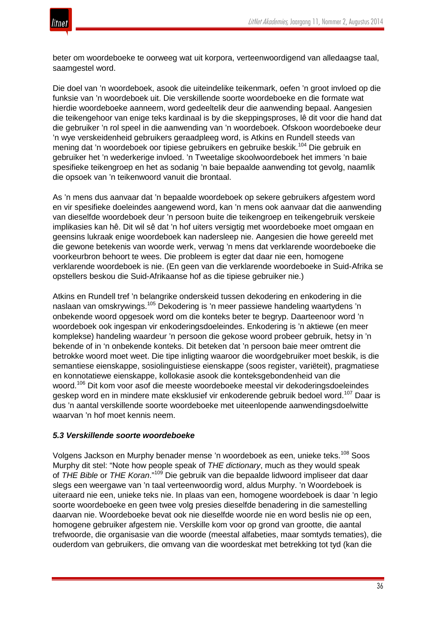

beter om woordeboeke te oorweeg wat uit korpora, verteenwoordigend van alledaagse taal, saamgestel word.

Die doel van 'n woordeboek, asook die uiteindelike teikenmark, oefen 'n groot invloed op die funksie van 'n woordeboek uit. Die verskillende soorte woordeboeke en die formate wat hierdie woordeboeke aanneem, word gedeeltelik deur die aanwending bepaal. Aangesien die teikengehoor van enige teks kardinaal is by die skeppingsproses, lê dit voor die hand dat die gebruiker 'n rol speel in die aanwending van 'n woordeboek. Ofskoon woordeboeke deur 'n wye verskeidenheid gebruikers geraadpleeg word, is Atkins en Rundell steeds van mening dat 'n woordeboek oor tipiese gebruikers en gebruike beskik.<sup>104</sup> Die gebruik en gebruiker het 'n wederkerige invloed. 'n Tweetalige skoolwoordeboek het immers 'n baie spesifieke teikengroep en het as sodanig 'n baie bepaalde aanwending tot gevolg, naamlik die opsoek van 'n teikenwoord vanuit die brontaal.

As 'n mens dus aanvaar dat 'n bepaalde woordeboek op sekere gebruikers afgestem word en vir spesifieke doeleindes aangewend word, kan 'n mens ook aanvaar dat die aanwending van dieselfde woordeboek deur 'n persoon buite die teikengroep en teikengebruik verskeie implikasies kan hê. Dit wil sê dat 'n hof uiters versigtig met woordeboeke moet omgaan en geensins lukraak enige woordeboek kan nadersleep nie. Aangesien die howe gereeld met die gewone betekenis van woorde werk, verwag 'n mens dat verklarende woordeboeke die voorkeurbron behoort te wees. Die probleem is egter dat daar nie een, homogene verklarende woordeboek is nie. (En geen van die verklarende woordeboeke in Suid-Afrika se opstellers beskou die Suid-Afrikaanse hof as die tipiese gebruiker nie.)

Atkins en Rundell tref 'n belangrike onderskeid tussen dekodering en enkodering in die naslaan van omskrywings.<sup>105</sup> Dekodering is 'n meer passiewe handeling waartydens 'n onbekende woord opgesoek word om die konteks beter te begryp. Daarteenoor word 'n woordeboek ook ingespan vir enkoderingsdoeleindes. Enkodering is 'n aktiewe (en meer komplekse) handeling waardeur 'n persoon die gekose woord probeer gebruik, hetsy in 'n bekende of in 'n onbekende konteks. Dit beteken dat 'n persoon baie meer omtrent die betrokke woord moet weet. Die tipe inligting waaroor die woordgebruiker moet beskik, is die semantiese eienskappe, sosiolinguistiese eienskappe (soos register, variëteit), pragmatiese en konnotatiewe eienskappe, kollokasie asook die konteksgebondenheid van die woord.<sup>106</sup> Dit kom voor asof die meeste woordeboeke meestal vir dekoderingsdoeleindes geskep word en in mindere mate eksklusief vir enkoderende gebruik bedoel word.<sup>107</sup> Daar is dus 'n aantal verskillende soorte woordeboeke met uiteenlopende aanwendingsdoelwitte waarvan 'n hof moet kennis neem.

# *5.3 Verskillende soorte woordeboeke*

Volgens Jackson en Murphy benader mense 'n woordeboek as een, unieke teks.<sup>108</sup> Soos Murphy dit stel: "Note how people speak of *THE dictionary*, much as they would speak of *THE Bible* or *THE Koran*."<sup>109</sup> Die gebruik van die bepaalde lidwoord impliseer dat daar slegs een weergawe van 'n taal verteenwoordig word, aldus Murphy. 'n Woordeboek is uiteraard nie een, unieke teks nie. In plaas van een, homogene woordeboek is daar 'n legio soorte woordeboeke en geen twee volg presies dieselfde benadering in die samestelling daarvan nie. Woordeboeke bevat ook nie dieselfde woorde nie en word beslis nie op een, homogene gebruiker afgestem nie. Verskille kom voor op grond van grootte, die aantal trefwoorde, die organisasie van die woorde (meestal alfabeties, maar somtyds tematies), die ouderdom van gebruikers, die omvang van die woordeskat met betrekking tot tyd (kan die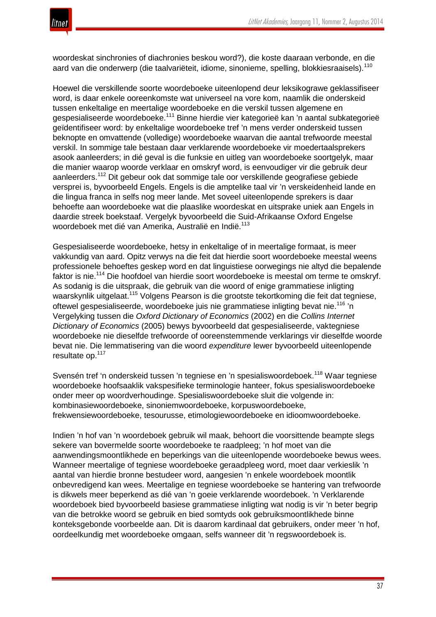

woordeskat sinchronies of diachronies beskou word?), die koste daaraan verbonde, en die aard van die onderwerp (die taalvariëteit, idiome, sinonieme, spelling, blokkiesraaisels).<sup>110</sup>

Hoewel die verskillende soorte woordeboeke uiteenlopend deur leksikograwe geklassifiseer word, is daar enkele ooreenkomste wat universeel na vore kom, naamlik die onderskeid tussen enkeltalige en meertalige woordeboeke en die verskil tussen algemene en gespesialiseerde woordeboeke.<sup>111</sup> Binne hierdie vier kategorieë kan 'n aantal subkategorieë geïdentifiseer word: by enkeltalige woordeboeke tref 'n mens verder onderskeid tussen beknopte en omvattende (volledige) woordeboeke waarvan die aantal trefwoorde meestal verskil. In sommige tale bestaan daar verklarende woordeboeke vir moedertaalsprekers asook aanleerders; in dié geval is die funksie en uitleg van woordeboeke soortgelyk, maar die manier waarop woorde verklaar en omskryf word, is eenvoudiger vir die gebruik deur aanleerders.<sup>112</sup> Dit gebeur ook dat sommige tale oor verskillende geografiese gebiede versprei is, byvoorbeeld Engels. Engels is die amptelike taal vir 'n verskeidenheid lande en die lingua franca in selfs nog meer lande. Met soveel uiteenlopende sprekers is daar behoefte aan woordeboeke wat die plaaslike woordeskat en uitsprake uniek aan Engels in daardie streek boekstaaf. Vergelyk byvoorbeeld die Suid-Afrikaanse Oxford Engelse woordeboek met dié van Amerika, Australië en Indië.<sup>113</sup>

Gespesialiseerde woordeboeke, hetsy in enkeltalige of in meertalige formaat, is meer vakkundig van aard. Opitz verwys na die feit dat hierdie soort woordeboeke meestal weens professionele behoeftes geskep word en dat linguistiese oorwegings nie altyd die bepalende faktor is nie.<sup>114</sup> Die hoofdoel van hierdie soort woordeboeke is meestal om terme te omskryf. As sodanig is die uitspraak, die gebruik van die woord of enige grammatiese inligting waarskynlik uitgelaat.<sup>115</sup> Volgens Pearson is die grootste tekortkoming die feit dat tegniese, oftewel gespesialiseerde, woordeboeke juis nie grammatiese inligting bevat nie.<sup>116</sup> 'n Vergelyking tussen die *Oxford Dictionary of Economics* (2002) en die *Collins Internet Dictionary of Economics* (2005) bewys byvoorbeeld dat gespesialiseerde, vaktegniese woordeboeke nie dieselfde trefwoorde of ooreenstemmende verklarings vir dieselfde woorde bevat nie. Die lemmatisering van die woord *expenditure* lewer byvoorbeeld uiteenlopende resultate op.<sup>117</sup>

Svensén tref 'n onderskeid tussen 'n tegniese en 'n spesialiswoordeboek.<sup>118</sup> Waar tegniese woordeboeke hoofsaaklik vakspesifieke terminologie hanteer, fokus spesialiswoordeboeke onder meer op woordverhoudinge. Spesialiswoordeboeke sluit die volgende in: kombinasiewoordeboeke, sinoniemwoordeboeke, korpuswoordeboeke, frekwensiewoordeboeke, tesourusse, etimologiewoordeboeke en idioomwoordeboeke.

Indien 'n hof van 'n woordeboek gebruik wil maak, behoort die voorsittende beampte slegs sekere van bovermelde soorte woordeboeke te raadpleeg; 'n hof moet van die aanwendingsmoontlikhede en beperkings van die uiteenlopende woordeboeke bewus wees. Wanneer meertalige of tegniese woordeboeke geraadpleeg word, moet daar verkieslik 'n aantal van hierdie bronne bestudeer word, aangesien 'n enkele woordeboek moontlik onbevredigend kan wees. Meertalige en tegniese woordeboeke se hantering van trefwoorde is dikwels meer beperkend as dié van 'n goeie verklarende woordeboek. 'n Verklarende woordeboek bied byvoorbeeld basiese grammatiese inligting wat nodig is vir 'n beter begrip van die betrokke woord se gebruik en bied somtyds ook gebruiksmoontlikhede binne konteksgebonde voorbeelde aan. Dit is daarom kardinaal dat gebruikers, onder meer 'n hof, oordeelkundig met woordeboeke omgaan, selfs wanneer dit 'n regswoordeboek is.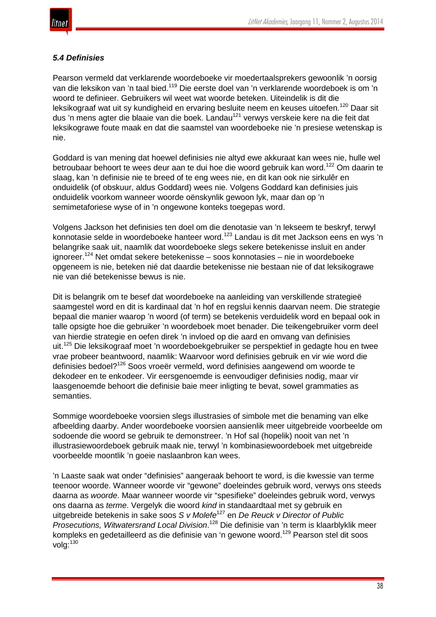

# *5.4 Definisies*

Pearson vermeld dat verklarende woordeboeke vir moedertaalsprekers gewoonlik 'n oorsig van die leksikon van 'n taal bied.<sup>119</sup> Die eerste doel van 'n verklarende woordeboek is om 'n woord te definieer. Gebruikers wil weet wat woorde beteken. Uiteindelik is dit die leksikograaf wat uit sy kundigheid en ervaring besluite neem en keuses uitoefen.<sup>120</sup> Daar sit dus 'n mens agter die blaaie van die boek. Landau<sup>121</sup> verwys verskeie kere na die feit dat leksikograwe foute maak en dat die saamstel van woordeboeke nie 'n presiese wetenskap is nie.

Goddard is van mening dat hoewel definisies nie altyd ewe akkuraat kan wees nie, hulle wel betroubaar behoort te wees deur aan te dui hoe die woord gebruik kan word.<sup>122</sup> Om daarin te slaag, kan 'n definisie nie te breed of te eng wees nie, en dit kan ook nie sirkulêr en onduidelik (of obskuur, aldus Goddard) wees nie. Volgens Goddard kan definisies juis onduidelik voorkom wanneer woorde oënskynlik gewoon lyk, maar dan op 'n semimetaforiese wyse of in 'n ongewone konteks toegepas word.

Volgens Jackson het definisies ten doel om die denotasie van 'n lekseem te beskryf, terwyl konnotasie selde in woordeboeke hanteer word.<sup>123</sup> Landau is dit met Jackson eens en wys 'n belangrike saak uit, naamlik dat woordeboeke slegs sekere betekenisse insluit en ander  $i$ ignoreer.<sup>124</sup> Net omdat sekere betekenisse – soos konnotasies – nie in woordeboeke opgeneem is nie, beteken nié dat daardie betekenisse nie bestaan nie of dat leksikograwe nie van dié betekenisse bewus is nie.

Dit is belangrik om te besef dat woordeboeke na aanleiding van verskillende strategieë saamgestel word en dit is kardinaal dat 'n hof en regslui kennis daarvan neem. Die strategie bepaal die manier waarop 'n woord (of term) se betekenis verduidelik word en bepaal ook in talle opsigte hoe die gebruiker 'n woordeboek moet benader. Die teikengebruiker vorm deel van hierdie strategie en oefen direk 'n invloed op die aard en omvang van definisies uit.<sup>125</sup> Die leksikograaf moet 'n woordeboekgebruiker se perspektief in gedagte hou en twee vrae probeer beantwoord, naamlik: Waarvoor word definisies gebruik en vir wie word die definisies bedoel?<sup>126</sup> Soos vroeër vermeld, word definisies aangewend om woorde te dekodeer en te enkodeer. Vir eersgenoemde is eenvoudiger definisies nodig, maar vir laasgenoemde behoort die definisie baie meer inligting te bevat, sowel grammaties as semanties.

Sommige woordeboeke voorsien slegs illustrasies of simbole met die benaming van elke afbeelding daarby. Ander woordeboeke voorsien aansienlik meer uitgebreide voorbeelde om sodoende die woord se gebruik te demonstreer. 'n Hof sal (hopelik) nooit van net 'n illustrasiewoordeboek gebruik maak nie, terwyl 'n kombinasiewoordeboek met uitgebreide voorbeelde moontlik 'n goeie naslaanbron kan wees.

'n Laaste saak wat onder "definisies" aangeraak behoort te word, is die kwessie van terme teenoor woorde. Wanneer woorde vir "gewone" doeleindes gebruik word, verwys ons steeds daarna as *woorde*. Maar wanneer woorde vir "spesifieke" doeleindes gebruik word, verwys ons daarna as *terme*. Vergelyk die woord *kind* in standaardtaal met sy gebruik en uitgebreide betekenis in sake soos *S v Molefe*<sup>127</sup> en *De Reuck v Director of Public Prosecutions, Witwatersrand Local Division*. <sup>128</sup> Die definisie van 'n term is klaarblyklik meer kompleks en gedetailleerd as die definisie van 'n gewone woord.<sup>129</sup> Pearson stel dit soos volg:<sup>130</sup>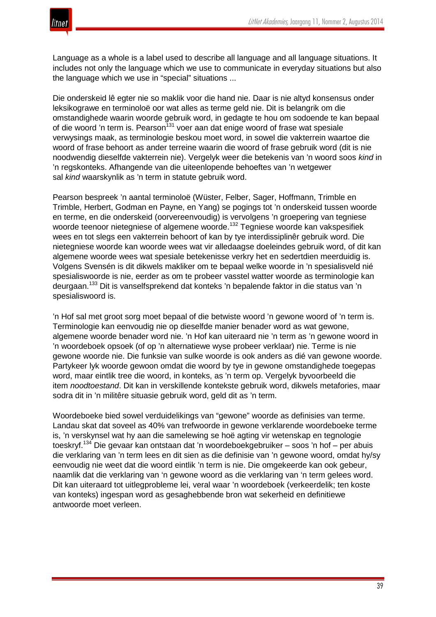

Language as a whole is a label used to describe all language and all language situations. It includes not only the language which we use to communicate in everyday situations but also the language which we use in "special" situations ...

Die onderskeid lê egter nie so maklik voor die hand nie. Daar is nie altyd konsensus onder leksikograwe en terminoloë oor wat alles as terme geld nie. Dit is belangrik om die omstandighede waarin woorde gebruik word, in gedagte te hou om sodoende te kan bepaal of die woord 'n term is. Pearson<sup>131</sup> voer aan dat enige woord of frase wat spesiale verwysings maak, as terminologie beskou moet word, in sowel die vakterrein waartoe die woord of frase behoort as ander terreine waarin die woord of frase gebruik word (dit is nie noodwendig dieselfde vakterrein nie). Vergelyk weer die betekenis van 'n woord soos *kind* in 'n regskonteks. Afhangende van die uiteenlopende behoeftes van 'n wetgewer sal *kind* waarskynlik as 'n term in statute gebruik word.

Pearson bespreek 'n aantal terminoloë (Wüster, Felber, Sager, Hoffmann, Trimble en Trimble, Herbert, Godman en Payne, en Yang) se pogings tot 'n onderskeid tussen woorde en terme, en die onderskeid (oorvereenvoudig) is vervolgens 'n groepering van tegniese woorde teenoor nietegniese of algemene woorde.<sup>132</sup> Tegniese woorde kan vakspesifiek wees en tot slegs een vakterrein behoort of kan by tye interdissiplinêr gebruik word. Die nietegniese woorde kan woorde wees wat vir alledaagse doeleindes gebruik word, of dit kan algemene woorde wees wat spesiale betekenisse verkry het en sedertdien meerduidig is. Volgens Svensén is dit dikwels makliker om te bepaal welke woorde in 'n spesialisveld nié spesialiswoorde is nie, eerder as om te probeer vasstel watter woorde as terminologie kan deurgaan.<sup>133</sup> Dit is vanselfsprekend dat konteks 'n bepalende faktor in die status van 'n spesialiswoord is.

'n Hof sal met groot sorg moet bepaal of die betwiste woord 'n gewone woord of 'n term is. Terminologie kan eenvoudig nie op dieselfde manier benader word as wat gewone, algemene woorde benader word nie. 'n Hof kan uiteraard nie 'n term as 'n gewone woord in 'n woordeboek opsoek (of op 'n alternatiewe wyse probeer verklaar) nie. Terme is nie gewone woorde nie. Die funksie van sulke woorde is ook anders as dié van gewone woorde. Partykeer lyk woorde gewoon omdat die woord by tye in gewone omstandighede toegepas word, maar eintlik tree die woord, in konteks, as 'n term op. Vergelyk byvoorbeeld die item *noodtoestand*. Dit kan in verskillende kontekste gebruik word, dikwels metafories, maar sodra dit in 'n militêre situasie gebruik word, geld dit as 'n term.

Woordeboeke bied sowel verduidelikings van "gewone" woorde as definisies van terme. Landau skat dat soveel as 40% van trefwoorde in gewone verklarende woordeboeke terme is, 'n verskynsel wat hy aan die samelewing se hoë agting vir wetenskap en tegnologie toeskryf.<sup>134</sup> Die gevaar kan ontstaan dat 'n woordeboekgebruiker – soos 'n hof – per abuis die verklaring van 'n term lees en dit sien as die definisie van 'n gewone woord, omdat hy/sy eenvoudig nie weet dat die woord eintlik 'n term is nie. Die omgekeerde kan ook gebeur, naamlik dat die verklaring van 'n gewone woord as die verklaring van 'n term gelees word. Dit kan uiteraard tot uitlegprobleme lei, veral waar 'n woordeboek (verkeerdelik; ten koste van konteks) ingespan word as gesaghebbende bron wat sekerheid en definitiewe antwoorde moet verleen.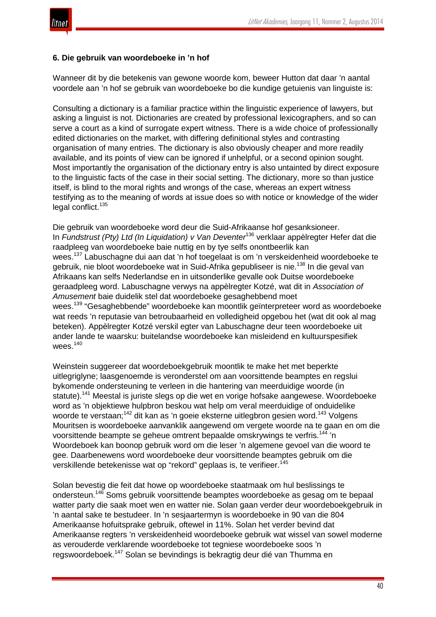# **6. Die gebruik van woordeboeke in 'n hof**

Wanneer dit by die betekenis van gewone woorde kom, beweer Hutton dat daar 'n aantal voordele aan 'n hof se gebruik van woordeboeke bo die kundige getuienis van linguiste is:

Consulting a dictionary is a familiar practice within the linguistic experience of lawyers, but asking a linguist is not. Dictionaries are created by professional lexicographers, and so can serve a court as a kind of surrogate expert witness. There is a wide choice of professionally edited dictionaries on the market, with differing definitional styles and contrasting organisation of many entries. The dictionary is also obviously cheaper and more readily available, and its points of view can be ignored if unhelpful, or a second opinion sought. Most importantly the organisation of the dictionary entry is also untainted by direct exposure to the linguistic facts of the case in their social setting. The dictionary, more so than justice itself, is blind to the moral rights and wrongs of the case, whereas an expert witness testifying as to the meaning of words at issue does so with notice or knowledge of the wider legal conflict.<sup>135</sup>

Die gebruik van woordeboeke word deur die Suid-Afrikaanse hof gesanksioneer. In *Fundstrust (Pty) Ltd (In Liquidation) v Van Deventer*<sup>136</sup> verklaar appèlregter Hefer dat die raadpleeg van woordeboeke baie nuttig en by tye selfs onontbeerlik kan wees.<sup>137</sup> Labuschagne dui aan dat 'n hof toegelaat is om 'n verskeidenheid woordeboeke te gebruik, nie bloot woordeboeke wat in Suid-Afrika gepubliseer is nie.<sup>138</sup> In die geval van Afrikaans kan selfs Nederlandse en in uitsonderlike gevalle ook Duitse woordeboeke geraadpleeg word. Labuschagne verwys na appèlregter Kotzé, wat dit in *Association of Amusement* baie duidelik stel dat woordeboeke gesaghebbend moet wees.<sup>139</sup> "Gesaghebbende" woordeboeke kan moontlik geïnterpreteer word as woordeboeke wat reeds 'n reputasie van betroubaarheid en volledigheid opgebou het (wat dit ook al mag beteken). Appèlregter Kotzé verskil egter van Labuschagne deur teen woordeboeke uit ander lande te waarsku: buitelandse woordeboeke kan misleidend en kultuurspesifiek wees.<sup>140</sup>

Weinstein suggereer dat woordeboekgebruik moontlik te make het met beperkte uitlegriglyne; laasgenoemde is veronderstel om aan voorsittende beamptes en regslui bykomende ondersteuning te verleen in die hantering van meerduidige woorde (in statute).<sup>141</sup> Meestal is juriste slegs op die wet en vorige hofsake aangewese. Woordeboeke word as 'n objektiewe hulpbron beskou wat help om veral meerduidige of onduidelike woorde te verstaan;<sup>142</sup> dit kan as 'n goeie eksterne uitlegbron gesien word.<sup>143</sup> Volgens Mouritsen is woordeboeke aanvanklik aangewend om vergete woorde na te gaan en om die voorsittende beampte se geheue omtrent bepaalde omskrywings te verfris.<sup>144</sup> 'n Woordeboek kan boonop gebruik word om die leser 'n algemene gevoel van die woord te gee. Daarbenewens word woordeboeke deur voorsittende beamptes gebruik om die verskillende betekenisse wat op "rekord" geplaas is, te verifieer.<sup>145</sup>

Solan bevestig die feit dat howe op woordeboeke staatmaak om hul beslissings te ondersteun.<sup>146</sup> Soms gebruik voorsittende beamptes woordeboeke as gesag om te bepaal watter party die saak moet wen en watter nie. Solan gaan verder deur woordeboekgebruik in 'n aantal sake te bestudeer. In 'n sesjaartermyn is woordeboeke in 90 van die 804 Amerikaanse hofuitsprake gebruik, oftewel in 11%. Solan het verder bevind dat Amerikaanse regters 'n verskeidenheid woordeboeke gebruik wat wissel van sowel moderne as verouderde verklarende woordeboeke tot tegniese woordeboeke soos 'n regswoordeboek.<sup>147</sup> Solan se bevindings is bekragtig deur dié van Thumma en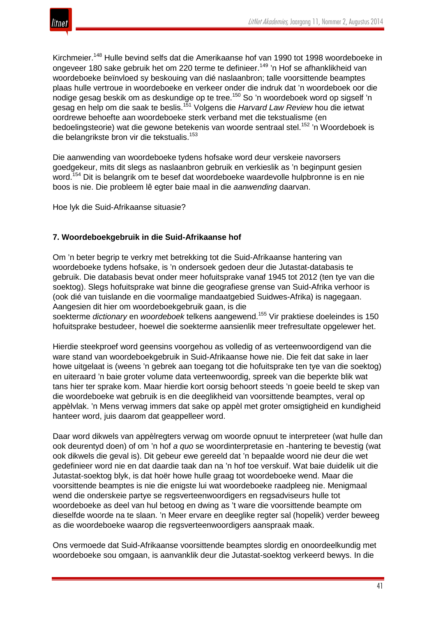

Kirchmeier.<sup>148</sup> Hulle bevind selfs dat die Amerikaanse hof van 1990 tot 1998 woordeboeke in ongeveer 180 sake gebruik het om 220 terme te definieer.<sup>149</sup> 'n Hof se afhanklikheid van woordeboeke beïnvloed sy beskouing van dié naslaanbron; talle voorsittende beamptes plaas hulle vertroue in woordeboeke en verkeer onder die indruk dat 'n woordeboek oor die nodige gesag beskik om as deskundige op te tree.<sup>150</sup> So 'n woordeboek word op sigself 'n gesag en help om die saak te beslis.<sup>151</sup> Volgens die *Harvard Law Review* hou die ietwat oordrewe behoefte aan woordeboeke sterk verband met die tekstualisme (en bedoelingsteorie) wat die gewone betekenis van woorde sentraal stel.<sup>152</sup> 'n Woordeboek is die belangrikste bron vir die tekstualis.<sup>153</sup>

Die aanwending van woordeboeke tydens hofsake word deur verskeie navorsers goedgekeur, mits dit slegs as naslaanbron gebruik en verkieslik as 'n beginpunt gesien word.<sup>154</sup> Dit is belangrik om te besef dat woordeboeke waardevolle hulpbronne is en nie boos is nie. Die probleem lê egter baie maal in die *aanwending* daarvan.

Hoe lyk die Suid-Afrikaanse situasie?

# **7. Woordeboekgebruik in die Suid-Afrikaanse hof**

Om 'n beter begrip te verkry met betrekking tot die Suid-Afrikaanse hantering van woordeboeke tydens hofsake, is 'n ondersoek gedoen deur die Jutastat-databasis te gebruik. Die databasis bevat onder meer hofuitsprake vanaf 1945 tot 2012 (ten tye van die soektog). Slegs hofuitsprake wat binne die geografiese grense van Suid-Afrika verhoor is (ook dié van tuislande en die voormalige mandaatgebied Suidwes-Afrika) is nagegaan. Aangesien dit hier om woordeboekgebruik gaan, is die

soekterme *dictionary* en *woordeboek* telkens aangewend.<sup>155</sup> Vir praktiese doeleindes is 150 hofuitsprake bestudeer, hoewel die soekterme aansienlik meer trefresultate opgelewer het.

Hierdie steekproef word geensins voorgehou as volledig of as verteenwoordigend van die ware stand van woordeboekgebruik in Suid-Afrikaanse howe nie. Die feit dat sake in laer howe uitgelaat is (weens 'n gebrek aan toegang tot die hofuitsprake ten tye van die soektog) en uiteraard 'n baie groter volume data verteenwoordig, spreek van die beperkte blik wat tans hier ter sprake kom. Maar hierdie kort oorsig behoort steeds 'n goeie beeld te skep van die woordeboeke wat gebruik is en die deeglikheid van voorsittende beamptes, veral op appèlvlak. 'n Mens verwag immers dat sake op appèl met groter omsigtigheid en kundigheid hanteer word, juis daarom dat geappelleer word.

Daar word dikwels van appèlregters verwag om woorde opnuut te interpreteer (wat hulle dan ook deurentyd doen) of om 'n hof *a quo* se woordinterpretasie en -hantering te bevestig (wat ook dikwels die geval is). Dit gebeur ewe gereeld dat 'n bepaalde woord nie deur die wet gedefinieer word nie en dat daardie taak dan na 'n hof toe verskuif. Wat baie duidelik uit die Jutastat-soektog blyk, is dat hoër howe hulle graag tot woordeboeke wend. Maar die voorsittende beamptes is nie die enigste lui wat woordeboeke raadpleeg nie. Menigmaal wend die onderskeie partye se regsverteenwoordigers en regsadviseurs hulle tot woordeboeke as deel van hul betoog en dwing as 't ware die voorsittende beampte om dieselfde woorde na te slaan. 'n Meer ervare en deeglike regter sal (hopelik) verder beweeg as die woordeboeke waarop die regsverteenwoordigers aanspraak maak.

Ons vermoede dat Suid-Afrikaanse voorsittende beamptes slordig en onoordeelkundig met woordeboeke sou omgaan, is aanvanklik deur die Jutastat-soektog verkeerd bewys. In die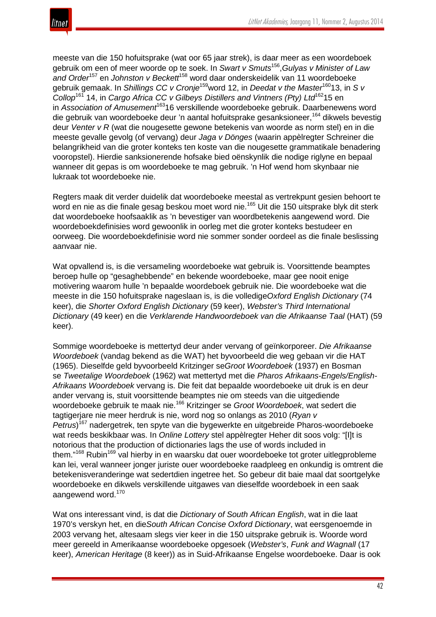

meeste van die 150 hofuitsprake (wat oor 65 jaar strek), is daar meer as een woordeboek gebruik om een of meer woorde op te soek. In *Swart v Smuts*156,*Gulyas v Minister of Law and Order*<sup>157</sup> en *Johnston v Beckett*<sup>158</sup> word daar onderskeidelik van 11 woordeboeke gebruik gemaak. In *Shillings CC v Cronje*159word 12, in *Deedat v the Master*16013, in *S v Collop*<sup>161</sup> 14, in *Cargo Africa CC v Gilbeys Distillers and Vintners (Pty) Ltd*16215 en in Association of Amusement<sup>163</sup>16 verskillende woordeboeke gebruik. Daarbenewens word die gebruik van woordeboeke deur 'n aantal hofuitsprake gesanksioneer,<sup>164</sup> dikwels bevestig deur *Venter v R* (wat die nougesette gewone betekenis van woorde as norm stel) en in die meeste gevalle gevolg (of vervang) deur *Jaga v Dönges* (waarin appèlregter Schreiner die belangrikheid van die groter konteks ten koste van die nougesette grammatikale benadering vooropstel). Hierdie sanksionerende hofsake bied oënskynlik die nodige riglyne en bepaal wanneer dit gepas is om woordeboeke te mag gebruik. 'n Hof wend hom skynbaar nie lukraak tot woordeboeke nie.

Regters maak dit verder duidelik dat woordeboeke meestal as vertrekpunt gesien behoort te word en nie as die finale gesag beskou moet word nie.<sup>165</sup> Uit die 150 uitsprake blyk dit sterk dat woordeboeke hoofsaaklik as 'n bevestiger van woordbetekenis aangewend word. Die woordeboekdefinisies word gewoonlik in oorleg met die groter konteks bestudeer en oorweeg. Die woordeboekdefinisie word nie sommer sonder oordeel as die finale beslissing aanvaar nie.

Wat opvallend is, is die versameling woordeboeke wat gebruik is. Voorsittende beamptes beroep hulle op "gesaghebbende" en bekende woordeboeke, maar gee nooit enige motivering waarom hulle 'n bepaalde woordeboek gebruik nie. Die woordeboeke wat die meeste in die 150 hofuitsprake nageslaan is, is die volledige*Oxford English Dictionary* (74 keer), die *Shorter Oxford English Dictionary* (59 keer), *Webster's Third International Dictionary* (49 keer) en die *Verklarende Handwoordeboek van die Afrikaanse Taal* (HAT) (59 keer).

Sommige woordeboeke is mettertyd deur ander vervang of geïnkorporeer. *Die Afrikaanse Woordeboek* (vandag bekend as die WAT) het byvoorbeeld die weg gebaan vir die HAT (1965). Dieselfde geld byvoorbeeld Kritzinger se*Groot Woordeboek* (1937) en Bosman se *Tweetalige Woordeboek* (1962) wat mettertyd met die *Pharos Afrikaans-Engels/English-Afrikaans Woordeboek* vervang is. Die feit dat bepaalde woordeboeke uit druk is en deur ander vervang is, stuit voorsittende beamptes nie om steeds van die uitgediende woordeboeke gebruik te maak nie.<sup>166</sup> Kritzinger se *Groot Woordeboek*, wat sedert die tagtigerjare nie meer herdruk is nie, word nog so onlangs as 2010 (*Ryan v* Petrus)<sup>167</sup> nadergetrek, ten spyte van die bygewerkte en uitgebreide Pharos-woordeboeke wat reeds beskikbaar was. In *Online Lottery* stel appèlregter Heher dit soos volg: "[I]t is notorious that the production of dictionaries lags the use of words included in them."<sup>168</sup> Rubin<sup>169</sup> val hierby in en waarsku dat ouer woordeboeke tot groter uitlegprobleme kan lei, veral wanneer jonger juriste ouer woordeboeke raadpleeg en onkundig is omtrent die betekenisveranderinge wat sedertdien ingetree het. So gebeur dit baie maal dat soortgelyke woordeboeke en dikwels verskillende uitgawes van dieselfde woordeboek in een saak aangewend word.<sup>170</sup>

Wat ons interessant vind, is dat die *Dictionary of South African English*, wat in die laat 1970's verskyn het, en die*South African Concise Oxford Dictionary*, wat eersgenoemde in 2003 vervang het, altesaam slegs vier keer in die 150 uitsprake gebruik is. Woorde word meer gereeld in Amerikaanse woordeboeke opgesoek (*Webster's*, *Funk and Wagnall* (17 keer), *American Heritage* (8 keer)) as in Suid-Afrikaanse Engelse woordeboeke. Daar is ook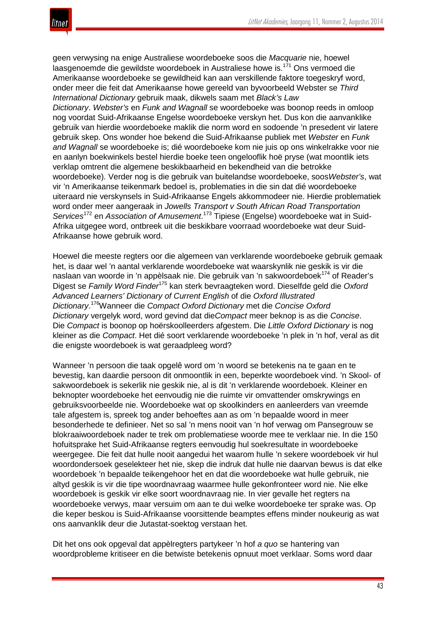geen verwysing na enige Australiese woordeboeke soos die *Macquarie* nie, hoewel laasgenoemde die gewildste woordeboek in Australiese howe is.<sup>171</sup> Ons vermoed die Amerikaanse woordeboeke se gewildheid kan aan verskillende faktore toegeskryf word, onder meer die feit dat Amerikaanse howe gereeld van byvoorbeeld Webster se *Third International Dictionary* gebruik maak, dikwels saam met *Black's Law*

*Dictionary*. *Webster's* en *Funk and Wagnall* se woordeboeke was boonop reeds in omloop nog voordat Suid-Afrikaanse Engelse woordeboeke verskyn het. Dus kon die aanvanklike gebruik van hierdie woordeboeke maklik die norm word en sodoende 'n presedent vir latere gebruik skep. Ons wonder hoe bekend die Suid-Afrikaanse publiek met *Webster* en *Funk and Wagnall* se woordeboeke is; dié woordeboeke kom nie juis op ons winkelrakke voor nie en aanlyn boekwinkels bestel hierdie boeke teen ongelooflik hoë pryse (wat moontlik iets verklap omtrent die algemene beskikbaarheid en bekendheid van die betrokke woordeboeke). Verder nog is die gebruik van buitelandse woordeboeke, soos*Webster's*, wat vir 'n Amerikaanse teikenmark bedoel is, problematies in die sin dat dié woordeboeke uiteraard nie verskynsels in Suid-Afrikaanse Engels akkommodeer nie. Hierdie problematiek word onder meer aangeraak in *Jowells Transport v South African Road Transportation Services*<sup>172</sup> en *Association of Amusement*. <sup>173</sup> Tipiese (Engelse) woordeboeke wat in Suid-Afrika uitgegee word, ontbreek uit die beskikbare voorraad woordeboeke wat deur Suid-Afrikaanse howe gebruik word.

Hoewel die meeste regters oor die algemeen van verklarende woordeboeke gebruik gemaak het, is daar wel 'n aantal verklarende woordeboeke wat waarskynlik nie geskik is vir die naslaan van woorde in 'n appèlsaak nie. Die gebruik van 'n sakwoordeboek<sup>174</sup> of Reader's Digest se *Family Word Finder*<sup>175</sup> kan sterk bevraagteken word. Dieselfde geld die *Oxford Advanced Learners' Dictionary of Current English* of die *Oxford Illustrated Dictionary*. 176Wanneer die *Compact Oxford Dictionary* met die *Concise Oxford Dictionary* vergelyk word, word gevind dat die*Compact* meer beknop is as die *Concise*. Die *Compact* is boonop op hoërskoolleerders afgestem. Die *Little Oxford Dictionary* is nog kleiner as die *Compact*. Het dié soort verklarende woordeboeke 'n plek in 'n hof, veral as dit die enigste woordeboek is wat geraadpleeg word?

Wanneer 'n persoon die taak opgelê word om 'n woord se betekenis na te gaan en te bevestig, kan daardie persoon dit onmoontlik in een, beperkte woordeboek vind. 'n Skool- of sakwoordeboek is sekerlik nie geskik nie, al is dit 'n verklarende woordeboek. Kleiner en beknopter woordeboeke het eenvoudig nie die ruimte vir omvattender omskrywings en gebruiksvoorbeelde nie. Woordeboeke wat op skoolkinders en aanleerders van vreemde tale afgestem is, spreek tog ander behoeftes aan as om 'n bepaalde woord in meer besonderhede te definieer. Net so sal 'n mens nooit van 'n hof verwag om Pansegrouw se blokraaiwoordeboek nader te trek om problematiese woorde mee te verklaar nie. In die 150 hofuitsprake het Suid-Afrikaanse regters eenvoudig hul soekresultate in woordeboeke weergegee. Die feit dat hulle nooit aangedui het waarom hulle 'n sekere woordeboek vir hul woordondersoek geselekteer het nie, skep die indruk dat hulle nie daarvan bewus is dat elke woordeboek 'n bepaalde teikengehoor het en dat die woordeboeke wat hulle gebruik, nie altyd geskik is vir die tipe woordnavraag waarmee hulle gekonfronteer word nie. Nie elke woordeboek is geskik vir elke soort woordnavraag nie. In vier gevalle het regters na woordeboeke verwys, maar versuim om aan te dui welke woordeboeke ter sprake was. Op die keper beskou is Suid-Afrikaanse voorsittende beamptes effens minder noukeurig as wat ons aanvanklik deur die Jutastat-soektog verstaan het.

Dit het ons ook opgeval dat appèlregters partykeer 'n hof *a quo* se hantering van woordprobleme kritiseer en die betwiste betekenis opnuut moet verklaar. Soms word daar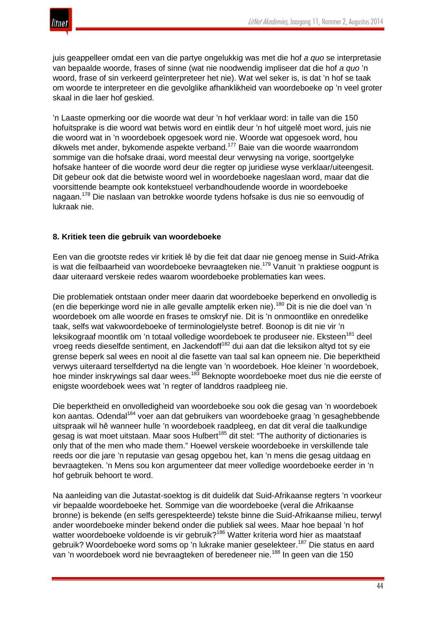

juis geappelleer omdat een van die partye ongelukkig was met die hof *a quo* se interpretasie van bepaalde woorde, frases of sinne (wat nie noodwendig impliseer dat die hof *a quo* 'n woord, frase of sin verkeerd geïnterpreteer het nie). Wat wel seker is, is dat 'n hof se taak om woorde te interpreteer en die gevolglike afhanklikheid van woordeboeke op 'n veel groter skaal in die laer hof geskied.

'n Laaste opmerking oor die woorde wat deur 'n hof verklaar word: in talle van die 150 hofuitsprake is die woord wat betwis word en eintlik deur 'n hof uitgelê moet word, juis nie die woord wat in 'n woordeboek opgesoek word nie. Woorde wat opgesoek word, hou dikwels met ander, bykomende aspekte verband.<sup>177</sup> Baie van die woorde waarrondom sommige van die hofsake draai, word meestal deur verwysing na vorige, soortgelyke hofsake hanteer of die woorde word deur die regter op juridiese wyse verklaar/uiteengesit. Dit gebeur ook dat die betwiste woord wel in woordeboeke nageslaan word, maar dat die voorsittende beampte ook kontekstueel verbandhoudende woorde in woordeboeke nagaan.<sup>178</sup> Die naslaan van betrokke woorde tydens hofsake is dus nie so eenvoudig of lukraak nie.

# **8. Kritiek teen die gebruik van woordeboeke**

Een van die grootste redes vir kritiek lê by die feit dat daar nie genoeg mense in Suid-Afrika is wat die feilbaarheid van woordeboeke bevraagteken nie.<sup>179</sup> Vanuit 'n praktiese oogpunt is daar uiteraard verskeie redes waarom woordeboeke problematies kan wees.

Die problematiek ontstaan onder meer daarin dat woordeboeke beperkend en onvolledig is (en die beperkinge word nie in alle gevalle amptelik erken nie).<sup>180</sup> Dit is nie die doel van 'n woordeboek om alle woorde en frases te omskryf nie. Dit is 'n onmoontlike en onredelike taak, selfs wat vakwoordeboeke of terminologielyste betref. Boonop is dit nie vir 'n leksikograaf moontlik om 'n totaal volledige woordeboek te produseer nie. Eksteen<sup>181</sup> deel vroeg reeds dieselfde sentiment, en Jackendoff<sup>182</sup> dui aan dat die leksikon altyd tot sy eie grense beperk sal wees en nooit al die fasette van taal sal kan opneem nie. Die beperktheid verwys uiteraard terselfdertyd na die lengte van 'n woordeboek. Hoe kleiner 'n woordeboek, hoe minder inskrywings sal daar wees.<sup>183</sup> Beknopte woordeboeke moet dus nie die eerste of enigste woordeboek wees wat 'n regter of landdros raadpleeg nie.

Die beperktheid en onvolledigheid van woordeboeke sou ook die gesag van 'n woordeboek kon aantas. Odendal<sup>184</sup> voer aan dat gebruikers van woordeboeke graag 'n gesaghebbende uitspraak wil hê wanneer hulle 'n woordeboek raadpleeg, en dat dit veral die taalkundige gesag is wat moet uitstaan. Maar soos Hulbert<sup>185</sup> dit stel: "The authority of dictionaries is only that of the men who made them." Hoewel verskeie woordeboeke in verskillende tale reeds oor die jare 'n reputasie van gesag opgebou het, kan 'n mens die gesag uitdaag en bevraagteken. 'n Mens sou kon argumenteer dat meer volledige woordeboeke eerder in 'n hof gebruik behoort te word.

Na aanleiding van die Jutastat-soektog is dit duidelik dat Suid-Afrikaanse regters 'n voorkeur vir bepaalde woordeboeke het. Sommige van die woordeboeke (veral die Afrikaanse bronne) is bekende (en selfs gerespekteerde) tekste binne die Suid-Afrikaanse milieu, terwyl ander woordeboeke minder bekend onder die publiek sal wees. Maar hoe bepaal 'n hof watter woordeboeke voldoende is vir gebruik?<sup>186</sup> Watter kriteria word hier as maatstaaf gebruik? Woordeboeke word soms op 'n lukrake manier geselekteer.<sup>187</sup> Die status en aard van 'n woordeboek word nie bevraagteken of beredeneer nie.<sup>188</sup> In geen van die 150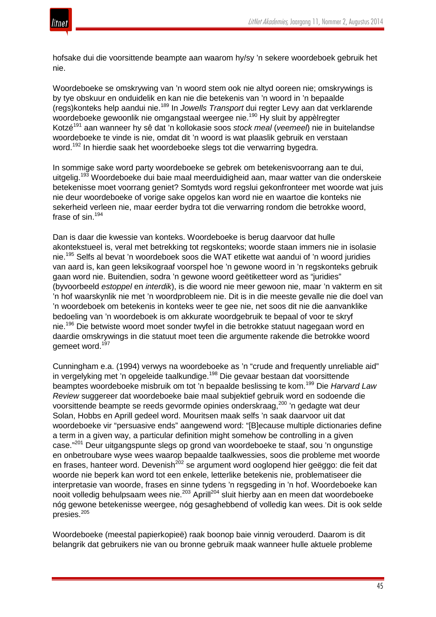

hofsake dui die voorsittende beampte aan waarom hy/sy 'n sekere woordeboek gebruik het nie.

Woordeboeke se omskrywing van 'n woord stem ook nie altyd ooreen nie; omskrywings is by tye obskuur en onduidelik en kan nie die betekenis van 'n woord in 'n bepaalde (regs)konteks help aandui nie.<sup>189</sup> In *Jowells Transport* dui regter Levy aan dat verklarende woordeboeke gewoonlik nie omgangstaal weergee nie.<sup>190</sup> Hy sluit by appèlregter Kotzé191 aan wanneer hy sê dat 'n kollokasie soos *stock meal* (*veemeel*) nie in buitelandse woordeboeke te vinde is nie, omdat dit 'n woord is wat plaaslik gebruik en verstaan word.<sup>192</sup> In hierdie saak het woordeboeke slegs tot die verwarring bygedra.

In sommige sake word party woordeboeke se gebrek om betekenisvoorrang aan te dui, uitgelig.<sup>193</sup> Woordeboeke dui baie maal meerduidigheid aan, maar watter van die onderskeie betekenisse moet voorrang geniet? Somtyds word regslui gekonfronteer met woorde wat juis nie deur woordeboeke of vorige sake opgelos kan word nie en waartoe die konteks nie sekerheid verleen nie, maar eerder bydra tot die verwarring rondom die betrokke woord, frase of  $sin<sup>194</sup>$ 

Dan is daar die kwessie van konteks. Woordeboeke is berug daarvoor dat hulle akontekstueel is, veral met betrekking tot regskonteks; woorde staan immers nie in isolasie nie.<sup>195</sup> Selfs al bevat 'n woordeboek soos die WAT etikette wat aandui of 'n woord juridies van aard is, kan geen leksikograaf voorspel hoe 'n gewone woord in 'n regskonteks gebruik gaan word nie. Buitendien, sodra 'n gewone woord geëtiketteer word as "juridies" (byvoorbeeld *estoppel* en *interdik*), is die woord nie meer gewoon nie, maar 'n vakterm en sit 'n hof waarskynlik nie met 'n woordprobleem nie. Dit is in die meeste gevalle nie die doel van 'n woordeboek om betekenis in konteks weer te gee nie, net soos dit nie die aanvanklike bedoeling van 'n woordeboek is om akkurate woordgebruik te bepaal of voor te skryf nie.<sup>196</sup> Die betwiste woord moet sonder twyfel in die betrokke statuut nagegaan word en daardie omskrywings in die statuut moet teen die argumente rakende die betrokke woord gemeet word.<sup>197</sup>

Cunningham e.a. (1994) verwys na woordeboeke as 'n "crude and frequently unreliable aid" in vergelyking met 'n opgeleide taalkundige.<sup>198</sup> Die gevaar bestaan dat voorsittende beamptes woordeboeke misbruik om tot 'n bepaalde beslissing te kom.<sup>199</sup> Die *Harvard Law Review* suggereer dat woordeboeke baie maal subjektief gebruik word en sodoende die voorsittende beampte se reeds gevormde opinies onderskraag,<sup>200</sup> 'n gedagte wat deur Solan, Hobbs en Aprill gedeel word. Mouritsen maak selfs 'n saak daarvoor uit dat woordeboeke vir "persuasive ends" aangewend word: "[B]ecause multiple dictionaries define a term in a given way, a particular definition might somehow be controlling in a given case."<sup>201</sup> Deur uitgangspunte slegs op grond van woordeboeke te staaf, sou 'n ongunstige en onbetroubare wyse wees waarop bepaalde taalkwessies, soos die probleme met woorde en frases, hanteer word. Devenish<sup>202</sup> se argument word ooglopend hier geëggo: die feit dat woorde nie beperk kan word tot een enkele, letterlike betekenis nie, problematiseer die interpretasie van woorde, frases en sinne tydens 'n regsgeding in 'n hof. Woordeboeke kan nooit volledig behulpsaam wees nie.<sup>203</sup> Aprill<sup>204</sup> sluit hierby aan en meen dat woordeboeke nóg gewone betekenisse weergee, nóg gesaghebbend of volledig kan wees. Dit is ook selde presies.<sup>205</sup>

Woordeboeke (meestal papierkopieë) raak boonop baie vinnig verouderd. Daarom is dit belangrik dat gebruikers nie van ou bronne gebruik maak wanneer hulle aktuele probleme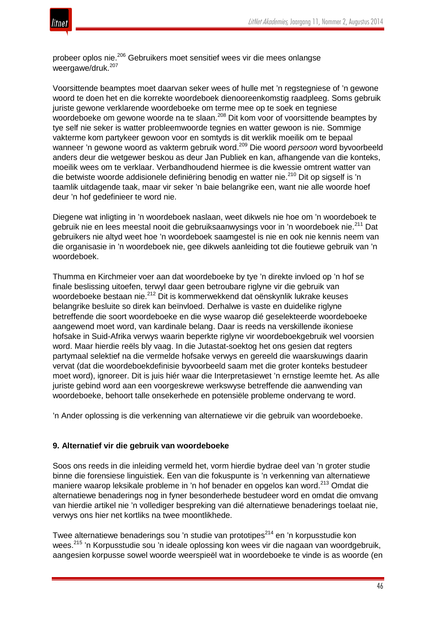

probeer oplos nie.<sup>206</sup> Gebruikers moet sensitief wees vir die mees onlangse weergawe/druk.<sup>207</sup>

Voorsittende beamptes moet daarvan seker wees of hulle met 'n regstegniese of 'n gewone woord te doen het en die korrekte woordeboek dienooreenkomstig raadpleeg. Soms gebruik juriste gewone verklarende woordeboeke om terme mee op te soek en tegniese woordeboeke om gewone woorde na te slaan.<sup>208</sup> Dit kom voor of voorsittende beamptes by tye self nie seker is watter probleemwoorde tegnies en watter gewoon is nie. Sommige vakterme kom partykeer gewoon voor en somtyds is dit werklik moeilik om te bepaal wanneer 'n gewone woord as vakterm gebruik word.<sup>209</sup> Die woord *persoon* word byvoorbeeld anders deur die wetgewer beskou as deur Jan Publiek en kan, afhangende van die konteks, moeilik wees om te verklaar. Verbandhoudend hiermee is die kwessie omtrent watter van die betwiste woorde addisionele definiëring benodig en watter nie.<sup>210</sup> Dit op sigself is 'n taamlik uitdagende taak, maar vir seker 'n baie belangrike een, want nie alle woorde hoef deur 'n hof gedefinieer te word nie.

Diegene wat inligting in 'n woordeboek naslaan, weet dikwels nie hoe om 'n woordeboek te gebruik nie en lees meestal nooit die gebruiksaanwysings voor in 'n woordeboek nie.<sup>211</sup> Dat gebruikers nie altyd weet hoe 'n woordeboek saamgestel is nie en ook nie kennis neem van die organisasie in 'n woordeboek nie, gee dikwels aanleiding tot die foutiewe gebruik van 'n woordeboek.

Thumma en Kirchmeier voer aan dat woordeboeke by tye 'n direkte invloed op 'n hof se finale beslissing uitoefen, terwyl daar geen betroubare riglyne vir die gebruik van woordeboeke bestaan nie.<sup>212</sup> Dit is kommerwekkend dat oënskynlik lukrake keuses belangrike besluite so direk kan beïnvloed. Derhalwe is vaste en duidelike riglyne betreffende die soort woordeboeke en die wyse waarop dié geselekteerde woordeboeke aangewend moet word, van kardinale belang. Daar is reeds na verskillende ikoniese hofsake in Suid-Afrika verwys waarin beperkte riglyne vir woordeboekgebruik wel voorsien word. Maar hierdie reëls bly vaag. In die Jutastat-soektog het ons gesien dat regters partymaal selektief na die vermelde hofsake verwys en gereeld die waarskuwings daarin vervat (dat die woordeboekdefinisie byvoorbeeld saam met die groter konteks bestudeer moet word), ignoreer. Dit is juis hiér waar die Interpretasiewet 'n ernstige leemte het. As alle juriste gebind word aan een voorgeskrewe werkswyse betreffende die aanwending van woordeboeke, behoort talle onsekerhede en potensiële probleme ondervang te word.

'n Ander oplossing is die verkenning van alternatiewe vir die gebruik van woordeboeke.

# **9. Alternatief vir die gebruik van woordeboeke**

Soos ons reeds in die inleiding vermeld het, vorm hierdie bydrae deel van 'n groter studie binne die forensiese linguistiek. Een van die fokuspunte is 'n verkenning van alternatiewe maniere waarop leksikale probleme in 'n hof benader en opgelos kan word.<sup>213</sup> Omdat die alternatiewe benaderings nog in fyner besonderhede bestudeer word en omdat die omvang van hierdie artikel nie 'n vollediger bespreking van dié alternatiewe benaderings toelaat nie, verwys ons hier net kortliks na twee moontlikhede.

Twee alternatiewe benaderings sou 'n studie van prototipes<sup>214</sup> en 'n korpusstudie kon wees.<sup>215</sup> 'n Korpusstudie sou 'n ideale oplossing kon wees vir die nagaan van woordgebruik, aangesien korpusse sowel woorde weerspieël wat in woordeboeke te vinde is as woorde (en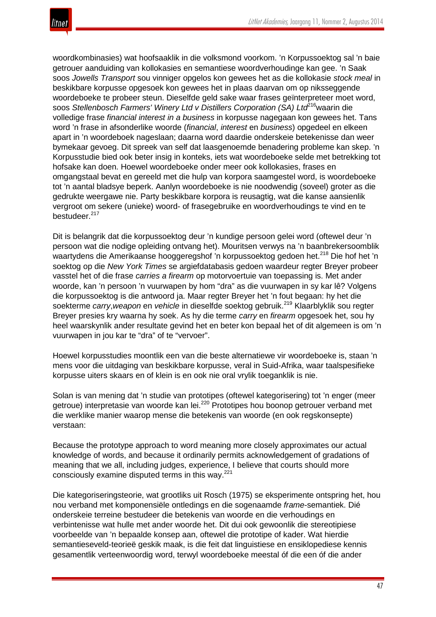

woordkombinasies) wat hoofsaaklik in die volksmond voorkom. 'n Korpussoektog sal 'n baie getrouer aanduiding van kollokasies en semantiese woordverhoudinge kan gee. 'n Saak soos *Jowells Transport* sou vinniger opgelos kon gewees het as die kollokasie *stock meal* in beskikbare korpusse opgesoek kon gewees het in plaas daarvan om op niksseggende woordeboeke te probeer steun. Dieselfde geld sake waar frases geïnterpreteer moet word, soos *Stellenbosch Farmers' Winery Ltd v Distillers Corporation (SA) Ltd*216waarin die volledige frase *financial interest in a business* in korpusse nagegaan kon gewees het. Tans word 'n frase in afsonderlike woorde (*financial*, *interest* en *business*) opgedeel en elkeen apart in 'n woordeboek nageslaan; daarna word daardie onderskeie betekenisse dan weer bymekaar gevoeg. Dit spreek van self dat laasgenoemde benadering probleme kan skep. 'n Korpusstudie bied ook beter insig in konteks, iets wat woordeboeke selde met betrekking tot hofsake kan doen. Hoewel woordeboeke onder meer ook kollokasies, frases en omgangstaal bevat en gereeld met die hulp van korpora saamgestel word, is woordeboeke tot 'n aantal bladsye beperk. Aanlyn woordeboeke is nie noodwendig (soveel) groter as die gedrukte weergawe nie. Party beskikbare korpora is reusagtig, wat die kanse aansienlik vergroot om sekere (unieke) woord- of frasegebruike en woordverhoudings te vind en te bestudeer.<sup>217</sup>

Dit is belangrik dat die korpussoektog deur 'n kundige persoon gelei word (oftewel deur 'n persoon wat die nodige opleiding ontvang het). Mouritsen verwys na 'n baanbrekersoomblik waartydens die Amerikaanse hooggeregshof 'n korpussoektog gedoen het.<sup>218</sup> Die hof het 'n soektog op die *New York Times* se argiefdatabasis gedoen waardeur regter Breyer probeer vasstel het of die frase *carries a firearm* op motorvoertuie van toepassing is. Met ander woorde, kan 'n persoon 'n vuurwapen by hom "dra" as die vuurwapen in sy kar lê? Volgens die korpussoektog is die antwoord ja. Maar regter Breyer het 'n fout begaan: hy het die soekterme *carry*,*weapon* en *vehicle* in dieselfde soektog gebruik.<sup>219</sup> Klaarblyklik sou regter Breyer presies kry waarna hy soek. As hy die terme *carry* en *firearm* opgesoek het, sou hy heel waarskynlik ander resultate gevind het en beter kon bepaal het of dit algemeen is om 'n vuurwapen in jou kar te "dra" of te "vervoer".

Hoewel korpusstudies moontlik een van die beste alternatiewe vir woordeboeke is, staan 'n mens voor die uitdaging van beskikbare korpusse, veral in Suid-Afrika, waar taalspesifieke korpusse uiters skaars en of klein is en ook nie oral vrylik toeganklik is nie.

Solan is van mening dat 'n studie van prototipes (oftewel kategorisering) tot 'n enger (meer getroue) interpretasie van woorde kan lei.<sup>220</sup> Prototipes hou boonop getrouer verband met die werklike manier waarop mense die betekenis van woorde (en ook regskonsepte) verstaan:

Because the prototype approach to word meaning more closely approximates our actual knowledge of words, and because it ordinarily permits acknowledgement of gradations of meaning that we all, including judges, experience, I believe that courts should more consciously examine disputed terms in this way.<sup>221</sup>

Die kategoriseringsteorie, wat grootliks uit Rosch (1975) se eksperimente ontspring het, hou nou verband met komponensiële ontledings en die sogenaamde *frame*-semantiek. Dié onderskeie terreine bestudeer die betekenis van woorde en die verhoudings en verbintenisse wat hulle met ander woorde het. Dit dui ook gewoonlik die stereotipiese voorbeelde van 'n bepaalde konsep aan, oftewel die prototipe of kader. Wat hierdie semantieseveld-teorieë geskik maak, is die feit dat linguistiese en ensiklopediese kennis gesamentlik verteenwoordig word, terwyl woordeboeke meestal óf die een óf die ander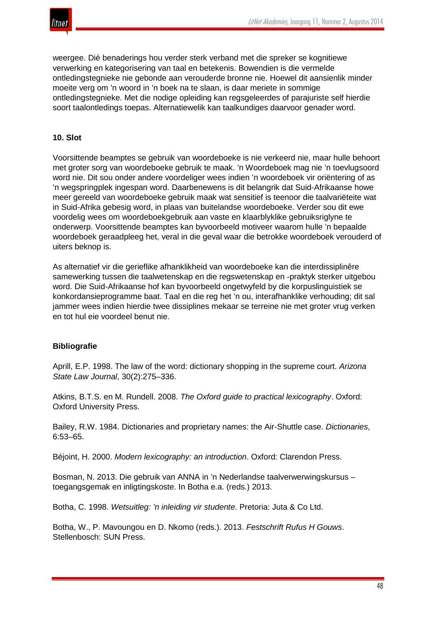

weergee. Dié benaderings hou verder sterk verband met die spreker se kognitiewe verwerking en kategorisering van taal en betekenis. Bowendien is die vermelde ontledingstegnieke nie gebonde aan verouderde bronne nie. Hoewel dit aansienlik minder moeite verg om 'n woord in 'n boek na te slaan, is daar meriete in sommige ontledingstegnieke. Met die nodige opleiding kan regsgeleerdes of parajuriste self hierdie soort taalontledings toepas. Alternatiewelik kan taalkundiges daarvoor genader word.

# **10. Slot**

Voorsittende beamptes se gebruik van woordeboeke is nie verkeerd nie, maar hulle behoort met groter sorg van woordeboeke gebruik te maak. 'n Woordeboek mag nie 'n toevlugsoord word nie. Dit sou onder andere voordeliger wees indien 'n woordeboek vir oriëntering of as 'n wegspringplek ingespan word. Daarbenewens is dit belangrik dat Suid-Afrikaanse howe meer gereeld van woordeboeke gebruik maak wat sensitief is teenoor die taalvariëteite wat in Suid-Afrika gebesig word, in plaas van buitelandse woordeboeke. Verder sou dit ewe voordelig wees om woordeboekgebruik aan vaste en klaarblyklike gebruiksriglyne te onderwerp. Voorsittende beamptes kan byvoorbeeld motiveer waarom hulle 'n bepaalde woordeboek geraadpleeg het, veral in die geval waar die betrokke woordeboek verouderd of uiters beknop is.

As alternatief vir die gerieflike afhanklikheid van woordeboeke kan die interdissiplinêre samewerking tussen die taalwetenskap en die regswetenskap en -praktyk sterker uitgebou word. Die Suid-Afrikaanse hof kan byvoorbeeld ongetwyfeld by die korpuslinguistiek se konkordansieprogramme baat. Taal en die reg het 'n ou, interafhanklike verhouding; dit sal jammer wees indien hierdie twee dissiplines mekaar se terreine nie met groter vrug verken en tot hul eie voordeel benut nie.

# **Bibliografie**

Aprill, E.P. 1998. The law of the word: dictionary shopping in the supreme court. *Arizona State Law Journal*, 30(2):275–336.

Atkins, B.T.S. en M. Rundell. 2008. *The Oxford guide to practical lexicography*. Oxford: Oxford University Press.

Bailey, R.W. 1984. Dictionaries and proprietary names: the Air-Shuttle case. *Dictionaries*, 6:53–65.

Béjoint, H. 2000. *Modern lexicography: an introduction*. Oxford: Clarendon Press.

Bosman, N. 2013. Die gebruik van ANNA in 'n Nederlandse taalverwerwingskursus – toegangsgemak en inligtingskoste. In Botha e.a. (reds.) 2013.

Botha, C. 1998. *Wetsuitleg: 'n inleiding vir studente*. Pretoria: Juta & Co Ltd.

Botha, W., P. Mavoungou en D. Nkomo (reds.). 2013. *Festschrift Rufus H Gouws*. Stellenbosch: SUN Press.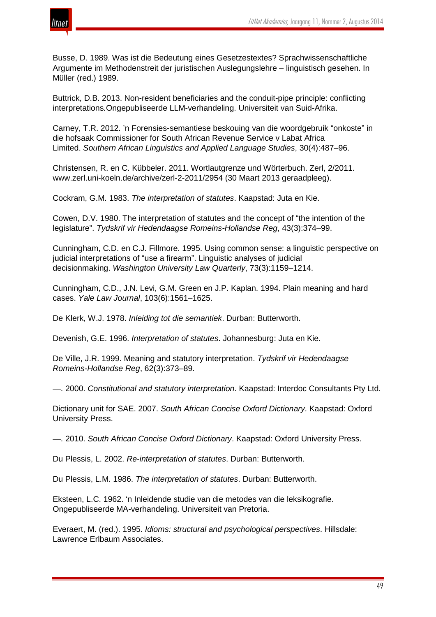Busse, D. 1989. Was ist die Bedeutung eines Gesetzestextes? Sprachwissenschaftliche Argumente im Methodenstreit der juristischen Auslegungslehre – linguistisch gesehen. In Müller (red.) 1989.

Buttrick, D.B. 2013. Non-resident beneficiaries and the conduit-pipe principle: conflicting interpretations*.*Ongepubliseerde LLM-verhandeling. Universiteit van Suid-Afrika.

Carney, T.R. 2012. 'n Forensies-semantiese beskouing van die woordgebruik "onkoste" in die hofsaak Commissioner for South African Revenue Service v Labat Africa Limited. *Southern African Linguistics and Applied Language Studies*, 30(4):487–96.

Christensen, R. en C. Kübbeler. 2011. Wortlautgrenze und Wörterbuch. Zerl, 2/2011. www.zerl.uni-koeln.de/archive/zerl-2-2011/2954 (30 Maart 2013 geraadpleeg).

Cockram, G.M. 1983. *The interpretation of statutes*. Kaapstad: Juta en Kie.

Cowen, D.V. 1980. The interpretation of statutes and the concept of "the intention of the legislature". *Tydskrif vir Hedendaagse Romeins-Hollandse Reg*, 43(3):374–99.

Cunningham, C.D. en C.J. Fillmore. 1995. Using common sense: a linguistic perspective on judicial interpretations of "use a firearm". Linguistic analyses of judicial decisionmaking. *Washington University Law Quarterly*, 73(3):1159–1214.

Cunningham, C.D., J.N. Levi, G.M. Green en J.P. Kaplan. 1994. Plain meaning and hard cases. *Yale Law Journal*, 103(6):1561–1625.

De Klerk, W.J. 1978. *Inleiding tot die semantiek*. Durban: Butterworth.

Devenish, G.E. 1996. *Interpretation of statutes*. Johannesburg: Juta en Kie.

De Ville, J.R. 1999. Meaning and statutory interpretation. *Tydskrif vir Hedendaagse Romeins-Hollandse Reg*, 62(3):373–89.

—. 2000. *Constitutional and statutory interpretation*. Kaapstad: Interdoc Consultants Pty Ltd.

Dictionary unit for SAE. 2007. *South African Concise Oxford Dictionary*. Kaapstad: Oxford University Press.

—. 2010. *South African Concise Oxford Dictionary*. Kaapstad: Oxford University Press.

Du Plessis, L. 2002. *Re-interpretation of statutes*. Durban: Butterworth.

Du Plessis, L.M. 1986. *The interpretation of statutes*. Durban: Butterworth.

Eksteen, L.C. 1962. 'n Inleidende studie van die metodes van die leksikografie. Ongepubliseerde MA-verhandeling. Universiteit van Pretoria.

Everaert, M. (red.). 1995. *Idioms: structural and psychological perspectives*. Hillsdale: Lawrence Erlbaum Associates.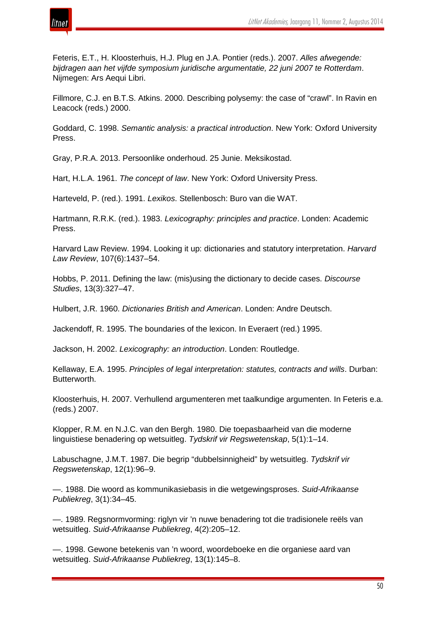

Feteris, E.T., H. Kloosterhuis, H.J. Plug en J.A. Pontier (reds.). 2007. *Alles afwegende: bijdragen aan het vijfde symposium juridische argumentatie, 22 juni 2007 te Rotterdam*. Nijmegen: Ars Aequi Libri.

Fillmore, C.J. en B.T.S. Atkins. 2000. Describing polysemy: the case of "crawl". In Ravin en Leacock (reds.) 2000.

Goddard, C. 1998. *Semantic analysis: a practical introduction*. New York: Oxford University Press.

Gray, P.R.A. 2013. Persoonlike onderhoud. 25 Junie. Meksikostad.

Hart, H.L.A. 1961. *The concept of law*. New York: Oxford University Press.

Harteveld, P. (red.). 1991. *Lexikos*. Stellenbosch: Buro van die WAT.

Hartmann, R.R.K. (red.). 1983. *Lexicography: principles and practice*. Londen: Academic Press.

Harvard Law Review. 1994. Looking it up: dictionaries and statutory interpretation. *Harvard Law Review*, 107(6):1437–54.

Hobbs, P. 2011. Defining the law: (mis)using the dictionary to decide cases. *Discourse Studies*, 13(3):327–47.

Hulbert, J.R. 1960. *Dictionaries British and American*. Londen: Andre Deutsch.

Jackendoff, R. 1995. The boundaries of the lexicon. In Everaert (red.) 1995.

Jackson, H. 2002. *Lexicography: an introduction*. Londen: Routledge.

Kellaway, E.A. 1995. *Principles of legal interpretation: statutes, contracts and wills*. Durban: Butterworth.

Kloosterhuis, H. 2007. Verhullend argumenteren met taalkundige argumenten. In Feteris e.a. (reds.) 2007.

Klopper, R.M. en N.J.C. van den Bergh. 1980. Die toepasbaarheid van die moderne linguistiese benadering op wetsuitleg. *Tydskrif vir Regswetenskap*, 5(1):1–14.

Labuschagne, J.M.T. 1987. Die begrip "dubbelsinnigheid" by wetsuitleg. *Tydskrif vir Regswetenskap*, 12(1):96–9.

—. 1988. Die woord as kommunikasiebasis in die wetgewingsproses. *Suid-Afrikaanse Publiekreg*, 3(1):34–45.

—. 1989. Regsnormvorming: riglyn vir 'n nuwe benadering tot die tradisionele reëls van wetsuitleg. *Suid-Afrikaanse Publiekreg*, 4(2):205–12.

—. 1998. Gewone betekenis van 'n woord, woordeboeke en die organiese aard van wetsuitleg. *Suid-Afrikaanse Publiekreg*, 13(1):145–8.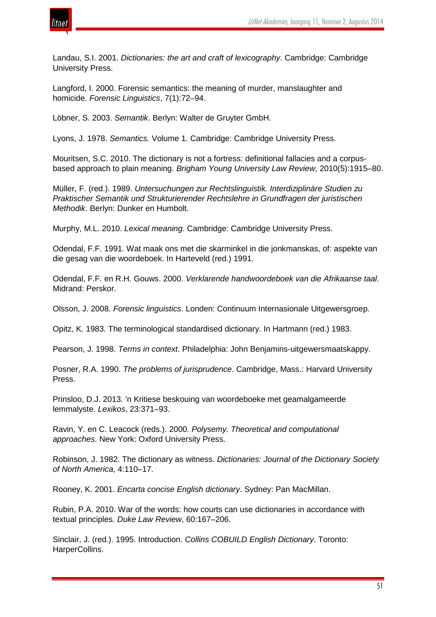

Landau, S.I. 2001. *Dictionaries: the art and craft of lexicography*. Cambridge: Cambridge University Press.

Langford, I. 2000. Forensic semantics: the meaning of murder, manslaughter and homicide. *Forensic Linguistics*, 7(1):72–94.

Löbner, S. 2003. *Semantik*. Berlyn: Walter de Gruyter GmbH.

Lyons, J. 1978. *Semantics.* Volume 1. Cambridge: Cambridge University Press.

Mouritsen, S.C. 2010. The dictionary is not a fortress: definitional fallacies and a corpusbased approach to plain meaning. *Brigham Young University Law Review*, 2010(5):1915–80.

Müller, F. (red.). 1989. *Untersuchungen zur Rechtslinguistik. Interdiziplinäre Studien zu Praktischer Semantik und Strukturierender Rechtslehre in Grundfragen der juristischen Methodik*. Berlyn: Dunker en Humbolt.

Murphy, M.L. 2010. *Lexical meaning*. Cambridge: Cambridge University Press.

Odendal, F.F. 1991. Wat maak ons met die skarminkel in die jonkmanskas, of: aspekte van die gesag van die woordeboek. In Harteveld (red.) 1991.

Odendal, F.F. en R.H. Gouws. 2000. *Verklarende handwoordeboek van die Afrikaanse taal*. Midrand: Perskor.

Olsson, J. 2008. *Forensic linguistics*. Londen: Continuum Internasionale Uitgewersgroep.

Opitz, K. 1983. The terminological standardised dictionary. In Hartmann (red.) 1983.

Pearson, J. 1998. *Terms in context*. Philadelphia: John Benjamins-uitgewersmaatskappy.

Posner, R.A. 1990. *The problems of jurisprudence*. Cambridge, Mass.: Harvard University Press.

Prinsloo, D.J. 2013. 'n Kritiese beskouing van woordeboeke met geamalgameerde lemmalyste. *Lexikos*, 23:371–93.

Ravin, Y. en C. Leacock (reds.). 2000. *Polysemy. Theoretical and computational approaches*. New York: Oxford University Press.

Robinson, J. 1982. The dictionary as witness. *Dictionaries: Journal of the Dictionary Society of North America*, 4:110–17.

Rooney, K. 2001. *Encarta concise English dictionary*. Sydney: Pan MacMillan.

Rubin, P.A. 2010. War of the words: how courts can use dictionaries in accordance with textual principles. *Duke Law Review*, 60:167–206.

Sinclair, J. (red.). 1995. Introduction. *Collins COBUILD English Dictionary*. Toronto: HarperCollins.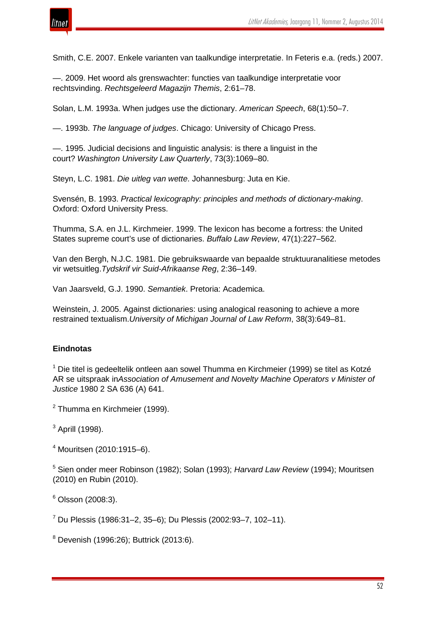

Smith, C.E. 2007. Enkele varianten van taalkundige interpretatie. In Feteris e.a. (reds.) 2007.

—. 2009. Het woord als grenswachter: functies van taalkundige interpretatie voor rechtsvinding. *Rechtsgeleerd Magazijn Themis*, 2:61–78.

Solan, L.M. 1993a. When judges use the dictionary. *American Speech*, 68(1):50–7.

—. 1993b. *The language of judges*. Chicago: University of Chicago Press.

—. 1995. Judicial decisions and linguistic analysis: is there a linguist in the court? *Washington University Law Quarterly*, 73(3):1069–80.

Steyn, L.C. 1981. *Die uitleg van wette*. Johannesburg: Juta en Kie.

Svensén, B. 1993. *Practical lexicography: principles and methods of dictionary-making*. Oxford: Oxford University Press.

Thumma, S.A. en J.L. Kirchmeier. 1999. The lexicon has become a fortress: the United States supreme court's use of dictionaries. *Buffalo Law Review*, 47(1):227–562.

Van den Bergh, N.J.C. 1981. Die gebruikswaarde van bepaalde struktuuranalitiese metodes vir wetsuitleg.*Tydskrif vir Suid-Afrikaanse Reg*, 2:36–149.

Van Jaarsveld, G.J. 1990. *Semantiek*. Pretoria: Academica.

Weinstein, J. 2005. Against dictionaries: using analogical reasoning to achieve a more restrained textualism.*University of Michigan Journal of Law Reform*, 38(3):649–81.

#### **Eindnotas**

 $1$  Die titel is gedeeltelik ontleen aan sowel Thumma en Kirchmeier (1999) se titel as Kotzé AR se uitspraak in*Association of Amusement and Novelty Machine Operators v Minister of Justice* 1980 2 SA 636 (A) 641.

<sup>2</sup> Thumma en Kirchmeier (1999).

<sup>3</sup> Aprill (1998).

<sup>4</sup> Mouritsen (2010:1915–6).

<sup>5</sup> Sien onder meer Robinson (1982); Solan (1993); *Harvard Law Review* (1994); Mouritsen (2010) en Rubin (2010).

 $6$  Olsson (2008:3).

<sup>7</sup> Du Plessis (1986:31–2, 35–6); Du Plessis (2002:93–7, 102–11).

<sup>8</sup> Devenish (1996:26); Buttrick (2013:6).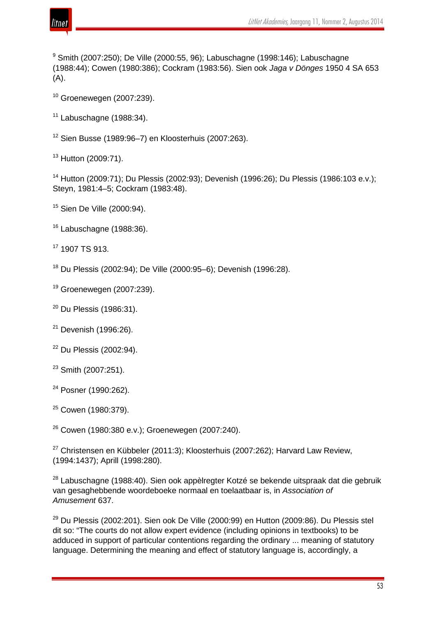

 Smith (2007:250); De Ville (2000:55, 96); Labuschagne (1998:146); Labuschagne (1988:44); Cowen (1980:386); Cockram (1983:56). Sien ook *Jaga v Dönges* 1950 4 SA 653 (A).

Groenewegen (2007:239).

Labuschagne (1988:34).

Sien Busse (1989:96–7) en Kloosterhuis (2007:263).

Hutton (2009:71).

 Hutton (2009:71); Du Plessis (2002:93); Devenish (1996:26); Du Plessis (1986:103 e.v.); Steyn, 1981:4–5; Cockram (1983:48).

Sien De Ville (2000:94).

Labuschagne (1988:36).

1907 TS 913.

Du Plessis (2002:94); De Ville (2000:95–6); Devenish (1996:28).

Groenewegen (2007:239).

Du Plessis (1986:31).

Devenish (1996:26).

Du Plessis (2002:94).

Posner (1990:262).

Cowen (1980:379).

Cowen (1980:380 e.v.): Groenewegen (2007:240).

 Christensen en Kübbeler (2011:3); Kloosterhuis (2007:262); Harvard Law Review, (1994:1437); Aprill (1998:280).

<sup>28</sup> Labuschagne (1988:40). Sien ook appèlregter Kotzé se bekende uitspraak dat die gebruik van gesaghebbende woordeboeke normaal en toelaatbaar is, in *Association of Amusement* 637.

 Du Plessis (2002:201). Sien ook De Ville (2000:99) en Hutton (2009:86). Du Plessis stel dit so: "The courts do not allow expert evidence (including opinions in textbooks) to be adduced in support of particular contentions regarding the ordinary ... meaning of statutory language. Determining the meaning and effect of statutory language is, accordingly, a

Smith (2007:251).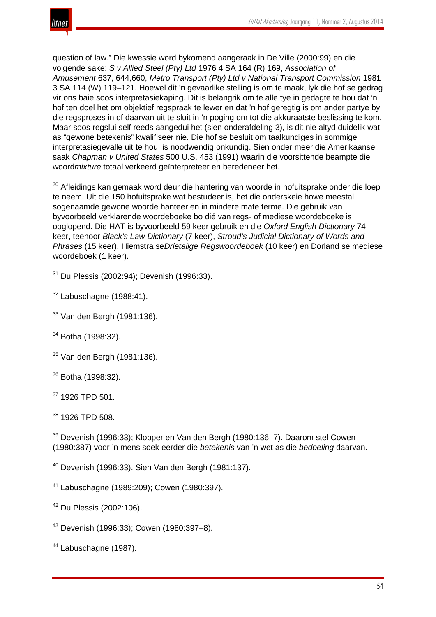

question of law." Die kwessie word bykomend aangeraak in De Ville (2000:99) en die volgende sake: *S v Allied Steel (Pty) Ltd* 1976 4 SA 164 (R) 169, *Association of Amusement* 637, 644,660, *Metro Transport (Pty) Ltd v National Transport Commission* 1981 3 SA 114 (W) 119–121. Hoewel dit 'n gevaarlike stelling is om te maak, lyk die hof se gedrag vir ons baie soos interpretasiekaping. Dit is belangrik om te alle tye in gedagte te hou dat 'n hof ten doel het om objektief regspraak te lewer en dat 'n hof geregtig is om ander partye by die regsproses in of daarvan uit te sluit in 'n poging om tot die akkuraatste beslissing te kom. Maar soos regslui self reeds aangedui het (sien onderafdeling 3), is dit nie altyd duidelik wat as "gewone betekenis" kwalifiseer nie. Die hof se besluit om taalkundiges in sommige interpretasiegevalle uit te hou, is noodwendig onkundig. Sien onder meer die Amerikaanse saak *Chapman v United States* 500 U.S. 453 (1991) waarin die voorsittende beampte die woord*mixture* totaal verkeerd geïnterpreteer en beredeneer het.

<sup>30</sup> Afleidings kan gemaak word deur die hantering van woorde in hofuitsprake onder die loep te neem. Uit die 150 hofuitsprake wat bestudeer is, het die onderskeie howe meestal sogenaamde gewone woorde hanteer en in mindere mate terme. Die gebruik van byvoorbeeld verklarende woordeboeke bo dié van regs- of mediese woordeboeke is ooglopend. Die HAT is byvoorbeeld 59 keer gebruik en die *Oxford English Dictionary* 74 keer, teenoor *Black's Law Dictionary* (7 keer), *Stroud's Judicial Dictionary of Words and Phrases* (15 keer), Hiemstra se*Drietalige Regswoordeboek* (10 keer) en Dorland se mediese woordeboek (1 keer).

<sup>31</sup> Du Plessis (2002:94); Devenish (1996:33).

 $32$  Labuschagne (1988:41).

- <sup>33</sup> Van den Bergh (1981:136).
- <sup>34</sup> Botha (1998:32).
- <sup>35</sup> Van den Bergh (1981:136).
- <sup>36</sup> Botha (1998:32).
- <sup>37</sup> 1926 TPD 501.

<sup>38</sup> 1926 TPD 508.

<sup>39</sup> Devenish (1996:33); Klopper en Van den Bergh (1980:136–7). Daarom stel Cowen (1980:387) voor 'n mens soek eerder die *betekenis* van 'n wet as die *bedoeling* daarvan.

<sup>40</sup> Devenish (1996:33). Sien Van den Bergh (1981:137).

- <sup>41</sup> Labuschagne (1989:209); Cowen (1980:397).
- <sup>42</sup> Du Plessis (2002:106).
- <sup>43</sup> Devenish (1996:33); Cowen (1980:397–8).
- <sup>44</sup> Labuschagne (1987).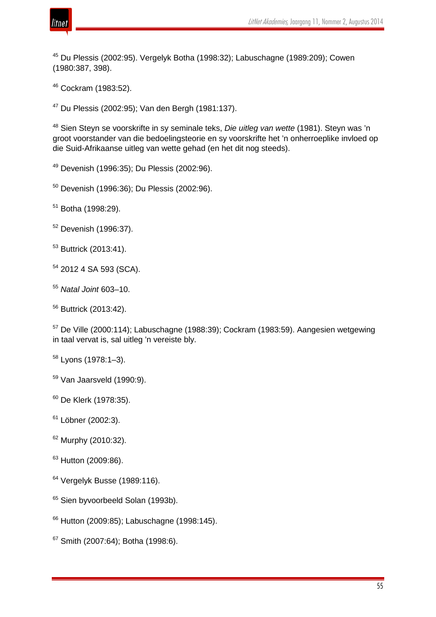

 Du Plessis (2002:95). Vergelyk Botha (1998:32); Labuschagne (1989:209); Cowen (1980:387, 398).

Cockram (1983:52).

Du Plessis (2002:95); Van den Bergh (1981:137).

 Sien Steyn se voorskrifte in sy seminale teks, *Die uitleg van wette* (1981). Steyn was 'n groot voorstander van die bedoelingsteorie en sy voorskrifte het 'n onherroeplike invloed op die Suid-Afrikaanse uitleg van wette gehad (en het dit nog steeds).

Devenish (1996:35); Du Plessis (2002:96).

Devenish (1996:36); Du Plessis (2002:96).

Botha (1998:29).

Devenish (1996:37).

<sup>53</sup> Buttrick (2013:41).

2012 4 SA 593 (SCA).

*Natal Joint* 603–10.

Buttrick (2013:42).

 De Ville (2000:114); Labuschagne (1988:39); Cockram (1983:59). Aangesien wetgewing in taal vervat is, sal uitleg 'n vereiste bly.

Lyons (1978:1–3).

Van Jaarsveld (1990:9).

De Klerk (1978:35).

<sup>61</sup> Löbner (2002:3).

Murphy (2010:32).

<sup>63</sup> Hutton (2009:86).

Vergelyk Busse (1989:116).

<sup>65</sup> Sien byvoorbeeld Solan (1993b).

Hutton (2009:85); Labuschagne (1998:145).

<sup>67</sup> Smith (2007:64); Botha (1998:6).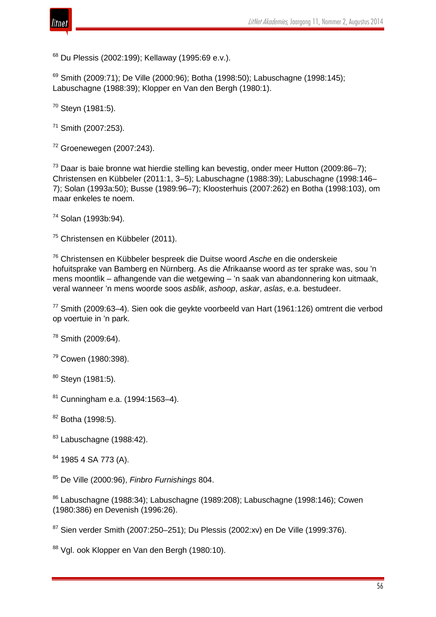

<sup>68</sup> Du Plessis (2002:199); Kellaway (1995:69 e.v.).

 $69$  Smith (2009:71); De Ville (2000:96); Botha (1998:50); Labuschagne (1998:145); Labuschagne (1988:39); Klopper en Van den Bergh (1980:1).

<sup>70</sup> Steyn (1981:5).

<sup>71</sup> Smith (2007:253).

 $72$  Groenewegen (2007:243).

 $73$  Daar is baie bronne wat hierdie stelling kan bevestig, onder meer Hutton (2009:86–7); Christensen en Kübbeler (2011:1, 3–5); Labuschagne (1988:39); Labuschagne (1998:146– 7); Solan (1993a:50); Busse (1989:96–7); Kloosterhuis (2007:262) en Botha (1998:103), om maar enkeles te noem.

<sup>74</sup> Solan (1993b:94).

<sup>75</sup> Christensen en Kübbeler (2011).

<sup>76</sup> Christensen en Kübbeler bespreek die Duitse woord *Asche* en die onderskeie hofuitsprake van Bamberg en Nürnberg. As die Afrikaanse woord *as* ter sprake was, sou 'n mens moontlik – afhangende van die wetgewing – 'n saak van abandonnering kon uitmaak, veral wanneer 'n mens woorde soos *asblik*, *ashoop*, *askar*, *aslas*, e.a. bestudeer.

<sup>77</sup> Smith (2009:63–4). Sien ook die geykte voorbeeld van Hart (1961:126) omtrent die verbod op voertuie in 'n park.

<sup>78</sup> Smith (2009:64).

<sup>79</sup> Cowen (1980:398).

80 Steyn (1981:5).

<sup>81</sup> Cunningham e.a. (1994:1563–4).

 $82$  Botha (1998:5).

 $83$  Labuschagne (1988:42).

<sup>84</sup> 1985 4 SA 773 (A).

<sup>85</sup> De Ville (2000:96), *Finbro Furnishings* 804.

 $86$  Labuschagne (1988:34); Labuschagne (1989:208); Labuschagne (1998:146); Cowen (1980:386) en Devenish (1996:26).

 $87$  Sien verder Smith (2007:250–251); Du Plessis (2002:xv) en De Ville (1999:376).

88 Val. ook Klopper en Van den Bergh (1980:10).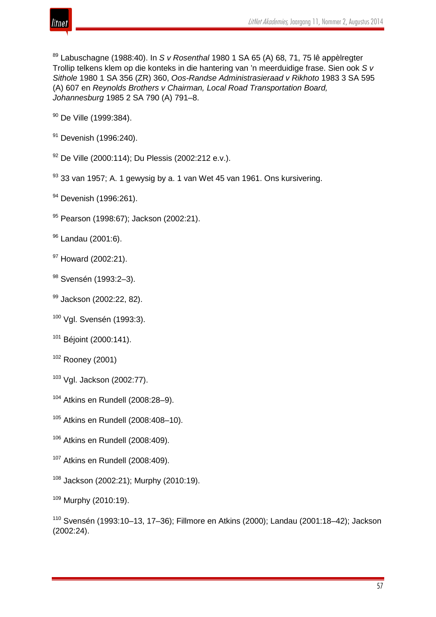

<sup>89</sup> Labuschagne (1988:40). In *S v Rosenthal* 1980 1 SA 65 (A) 68, 71, 75 lê appèlregter Trollip telkens klem op die konteks in die hantering van 'n meerduidige frase. Sien ook *S v Sithole* 1980 1 SA 356 (ZR) 360, *Oos-Randse Administrasieraad v Rikhoto* 1983 3 SA 595 (A) 607 en *Reynolds Brothers v Chairman, Local Road Transportation Board, Johannesburg* 1985 2 SA 790 (A) 791–8.

<sup>90</sup> De Ville (1999:384).

- <sup>91</sup> Devenish (1996:240).
- <sup>92</sup> De Ville (2000:114); Du Plessis (2002:212 e.v.).
- $93$  33 van 1957; A. 1 gewysig by a. 1 van Wet 45 van 1961. Ons kursivering.
- <sup>94</sup> Devenish (1996:261).
- 95 Pearson (1998:67); Jackson (2002:21).
- <sup>96</sup> Landau (2001:6).
- <sup>97</sup> Howard (2002:21).
- <sup>98</sup> Svensén (1993:2–3).
- 99 Jackson (2002:22, 82).
- <sup>100</sup> Vgl. Svensén (1993:3).
- <sup>101</sup> Béjoint (2000:141).
- <sup>102</sup> Rooney (2001)
- <sup>103</sup> Vgl. Jackson (2002:77).
- $104$  Atkins en Rundell (2008:28-9).
- <sup>105</sup> Atkins en Rundell (2008:408–10).
- <sup>106</sup> Atkins en Rundell (2008:409).
- <sup>107</sup> Atkins en Rundell (2008:409).
- 108 Jackson (2002:21); Murphy (2010:19).
- $109$  Murphy (2010:19).

<sup>110</sup> Svensén (1993:10–13, 17–36); Fillmore en Atkins (2000); Landau (2001:18–42); Jackson (2002:24).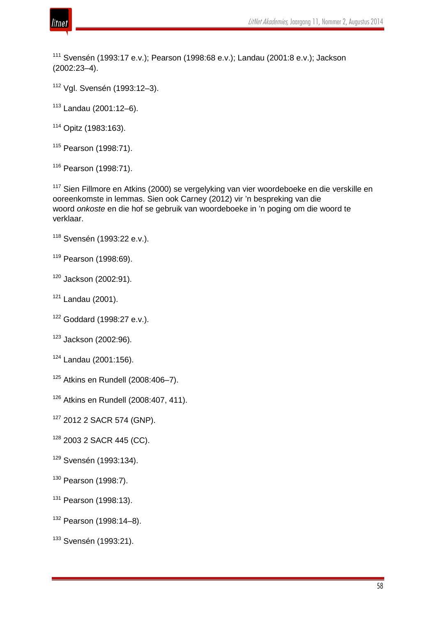

 Svensén (1993:17 e.v.); Pearson (1998:68 e.v.); Landau (2001:8 e.v.); Jackson (2002:23–4).

Vgl. Svensén (1993:12–3).

Landau (2001:12–6).

Opitz (1983:163).

Pearson (1998:71).

Pearson (1998:71).

<sup>117</sup> Sien Fillmore en Atkins (2000) se vergelyking van vier woordeboeke en die verskille en ooreenkomste in lemmas. Sien ook Carney (2012) vir 'n bespreking van die woord *onkoste* en die hof se gebruik van woordeboeke in 'n poging om die woord te verklaar.

Svensén (1993:22 e.v.).

Pearson (1998:69).

Jackson (2002:91).

Landau (2001).

Goddard (1998:27 e.v.).

Jackson (2002:96).

Landau (2001:156).

Atkins en Rundell (2008:406-7).

Atkins en Rundell (2008:407, 411).

127 2012 2 SACR 574 (GNP).

<sup>128</sup> 2003 2 SACR 445 (CC).

Svensén (1993:134).

Pearson (1998:7).

<sup>131</sup> Pearson (1998:13).

Pearson (1998:14–8).

<sup>133</sup> Svensén (1993:21).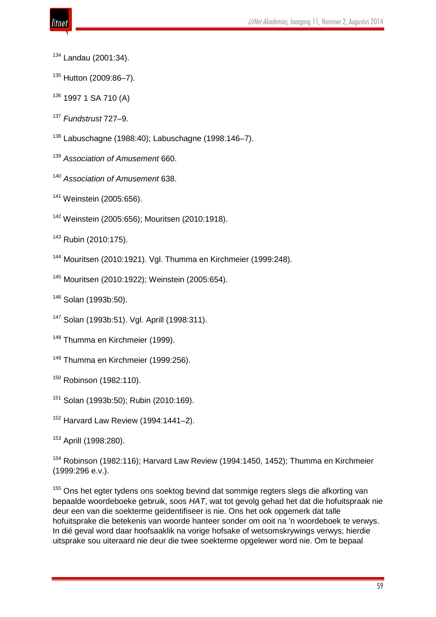- Landau (2001:34).
- <sup>135</sup> Hutton (2009:86-7).
- 1997 1 SA 710 (A)
- *Fundstrust* 727–9.
- Labuschagne (1988:40); Labuschagne (1998:146–7).
- *Association of Amusement* 660.
- *Association of Amusement* 638.
- Weinstein (2005:656).
- Weinstein (2005:656); Mouritsen (2010:1918).
- Rubin (2010:175).
- Mouritsen (2010:1921). Vgl. Thumma en Kirchmeier (1999:248).
- Mouritsen (2010:1922); Weinstein (2005:654).
- Solan (1993b:50).
- Solan (1993b:51). Vgl. Aprill (1998:311).
- Thumma en Kirchmeier (1999).
- <sup>149</sup> Thumma en Kirchmeier (1999:256).
- Robinson (1982:110).
- Solan (1993b:50); Rubin (2010:169).
- Harvard Law Review (1994:1441-2).
- Aprill (1998:280).
- Robinson (1982:116); Harvard Law Review (1994:1450, 1452); Thumma en Kirchmeier (1999:296 e.v.).
- <sup>155</sup> Ons het egter tydens ons soektog bevind dat sommige regters slegs die afkorting van bepaalde woordeboeke gebruik, soos *HAT*, wat tot gevolg gehad het dat die hofuitspraak nie deur een van die soekterme geïdentifiseer is nie. Ons het ook opgemerk dat talle hofuitsprake die betekenis van woorde hanteer sonder om ooit na 'n woordeboek te verwys. In dié geval word daar hoofsaaklik na vorige hofsake of wetsomskrywings verwys; hierdie uitsprake sou uiteraard nie deur die twee soekterme opgelewer word nie. Om te bepaal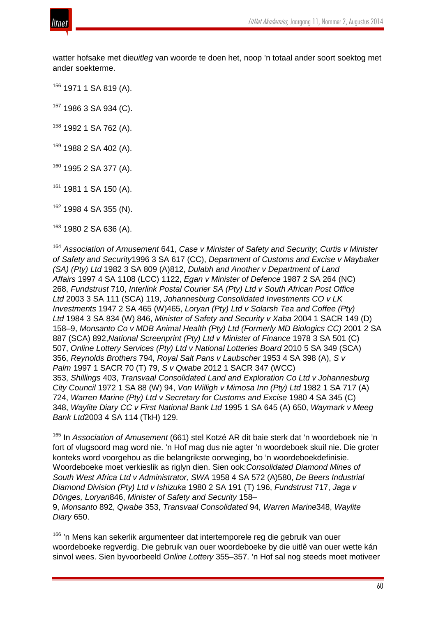

watter hofsake met die*uitleg* van woorde te doen het, noop 'n totaal ander soort soektog met ander soekterme.

<sup>156</sup> 1971 1 SA 819 (A).

<sup>157</sup> 1986 3 SA 934 (C).

 $158$  1992 1 SA 762 (A).

 $159$  1988 2 SA 402 (A).

<sup>160</sup> 1995 2 SA 377 (A).

 $161$  1981 1 SA 150 (A).

 $162$  1998 4 SA 355 (N).

 $163$  1980 2 SA 636 (A).

<sup>164</sup> *Association of Amusement* 641, *Case v Minister of Safety and Security*; *Curtis v Minister of Safety and Security*1996 3 SA 617 (CC), *Department of Customs and Excise v Maybaker (SA) (Pty) Ltd* 1982 3 SA 809 (A)812, *Dulabh and Another v Department of Land Affairs* 1997 4 SA 1108 (LCC) 1122, *Egan v Minister of Defence* 1987 2 SA 264 (NC) 268, *Fundstrust* 710, *Interlink Postal Courier SA (Pty) Ltd v South African Post Office Ltd* 2003 3 SA 111 (SCA) 119, *Johannesburg Consolidated Investments CO v LK Investments* 1947 2 SA 465 (W)465, *Loryan (Pty) Ltd v Solarsh Tea and Coffee (Pty) Ltd* 1984 3 SA 834 (W) 846, *Minister of Safety and Security v Xaba* 2004 1 SACR 149 (D) 158–9, *Monsanto Co v MDB Animal Health (Pty) Ltd (Formerly MD Biologics CC)* 2001 2 SA 887 (SCA) 892,*National Screenprint (Pty) Ltd v Minister of Finance* 1978 3 SA 501 (C) 507, *Online Lottery Services (Pty) Ltd v National Lotteries Board* 2010 5 SA 349 (SCA) 356, *Reynolds Brothers* 794, *Royal Salt Pans v Laubscher* 1953 4 SA 398 (A), *S v Palm* 1997 1 SACR 70 (T) 79, *S v Qwabe* 2012 1 SACR 347 (WCC) 353, *Shillings* 403, *Transvaal Consolidated Land and Exploration Co Ltd v Johannesburg City Council* 1972 1 SA 88 (W) 94, *Von Willigh v Mimosa Inn (Pty) Ltd* 1982 1 SA 717 (A) 724, *Warren Marine (Pty) Ltd v Secretary for Customs and Excise* 1980 4 SA 345 (C) 348, *Waylite Diary CC v First National Bank Ltd* 1995 1 SA 645 (A) 650, *Waymark v Meeg Bank Ltd*2003 4 SA 114 (TkH) 129.

<sup>165</sup> In *Association of Amusement* (661) stel Kotzé AR dit baie sterk dat 'n woordeboek nie 'n fort of vlugsoord mag word nie. 'n Hof mag dus nie agter 'n woordeboek skuil nie. Die groter konteks word voorgehou as die belangrikste oorweging, bo 'n woordeboekdefinisie. Woordeboeke moet verkieslik as riglyn dien. Sien ook:*Consolidated Diamond Mines of South West Africa Ltd v Administrator, SWA* 1958 4 SA 572 (A)580, *De Beers Industrial Diamond Division (Pty) Ltd v Ishizuka* 1980 2 SA 191 (T) 196, *Fundstrust* 717, *Jaga v Dönges, Loryan*846, *Minister of Safety and Security* 158–

9, *Monsanto* 892, *Qwabe* 353, *Transvaal Consolidated* 94, *Warren Marine*348, *Waylite Diary* 650.

<sup>166</sup> 'n Mens kan sekerlik argumenteer dat intertemporele reg die gebruik van ouer woordeboeke regverdig. Die gebruik van ouer woordeboeke by die uitlê van ouer wette kán sinvol wees. Sien byvoorbeeld *Online Lottery* 355–357. 'n Hof sal nog steeds moet motiveer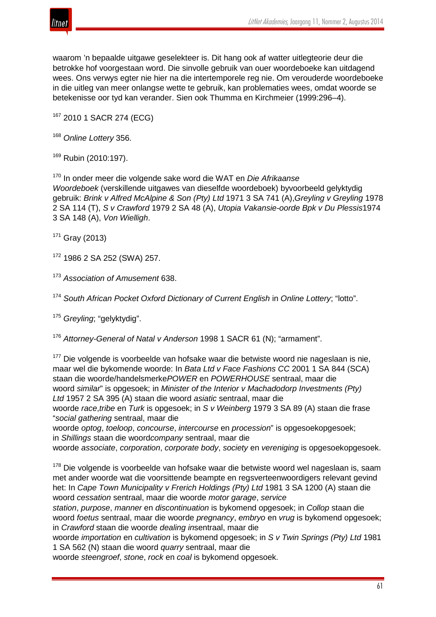

waarom 'n bepaalde uitgawe geselekteer is. Dit hang ook af watter uitlegteorie deur die betrokke hof voorgestaan word. Die sinvolle gebruik van ouer woordeboeke kan uitdagend wees. Ons verwys egter nie hier na die intertemporele reg nie. Om verouderde woordeboeke in die uitleg van meer onlangse wette te gebruik, kan problematies wees, omdat woorde se betekenisse oor tyd kan verander. Sien ook Thumma en Kirchmeier (1999:296–4).

<sup>167</sup> 2010 1 SACR 274 (ECG)

<sup>168</sup> *Online Lottery* 356.

<sup>169</sup> Rubin (2010:197).

<sup>170</sup> In onder meer die volgende sake word die WAT en *Die Afrikaanse Woordeboek* (verskillende uitgawes van dieselfde woordeboek) byvoorbeeld gelyktydig gebruik: *Brink v Alfred McAlpine & Son (Pty) Ltd* 1971 3 SA 741 (A),*Greyling v Greyling* 1978 2 SA 114 (T), *S v Crawford* 1979 2 SA 48 (A), *Utopia Vakansie-oorde Bpk v Du Plessis*1974 3 SA 148 (A), *Von Wielligh*.

 $171$  Grav (2013)

<sup>172</sup> 1986 2 SA 252 (SWA) 257.

<sup>173</sup> *Association of Amusement* 638.

<sup>174</sup> *South African Pocket Oxford Dictionary of Current English* in *Online Lottery*; "lotto".

<sup>175</sup> *Greyling*; "gelyktydig".

<sup>176</sup> *Attorney-General of Natal v Anderson* 1998 1 SACR 61 (N); "armament".

<sup>177</sup> Die volgende is voorbeelde van hofsake waar die betwiste woord nie nageslaan is nie. maar wel die bykomende woorde: In *Bata Ltd v Face Fashions CC* 2001 1 SA 844 (SCA) staan die woorde/handelsmerke*POWER* en *POWERHOUSE* sentraal, maar die woord *similar*" is opgesoek; in *Minister of the Interior v Machadodorp Investments (Pty) Ltd* 1957 2 SA 395 (A) staan die woord *asiatic* sentraal, maar die

woorde *race*,*tribe* en *Turk* is opgesoek; in *S v Weinberg* 1979 3 SA 89 (A) staan die frase "*social gathering* sentraal, maar die

woorde *optog*, *toeloop*, *concourse*, *intercourse* en *procession*" is opgesoekopgesoek; in *Shillings* staan die woord*company* sentraal, maar die

woorde *associate*, *corporation*, *corporate body*, *society* en *vereniging* is opgesoekopgesoek.

<sup>178</sup> Die volgende is voorbeelde van hofsake waar die betwiste woord wel nageslaan is, saam met ander woorde wat die voorsittende beampte en regsverteenwoordigers relevant gevind het: In *Cape Town Municipality v Frerich Holdings (Pty) Ltd* 1981 3 SA 1200 (A) staan die woord *cessation* sentraal, maar die woorde *motor garage*, *service*

*station*, *purpose*, *manner* en *discontinuation* is bykomend opgesoek; in *Collop* staan die woord *foetus* sentraal, maar die woorde *pregnancy*, *embryo* en *vrug* is bykomend opgesoek; in *Crawford* staan die woorde *dealing in*sentraal, maar die

woorde *importation* en *cultivation* is bykomend opgesoek; in *S v Twin Springs (Pty) Ltd* 1981 1 SA 562 (N) staan die woord *quarry* sentraal, maar die

woorde *steengroef*, *stone*, *rock* en *coal* is bykomend opgesoek.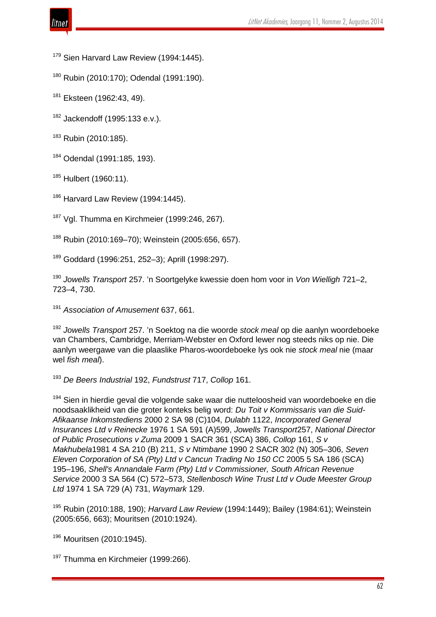

<sup>179</sup> Sien Harvard Law Review (1994:1445).

<sup>180</sup> Rubin (2010:170); Odendal (1991:190).

181 Eksteen (1962:43, 49).

<sup>182</sup> Jackendoff (1995:133 e.v.).

<sup>183</sup> Rubin (2010:185).

<sup>184</sup> Odendal (1991:185, 193).

<sup>185</sup> Hulbert (1960:11).

<sup>186</sup> Harvard Law Review (1994:1445).

<sup>187</sup> Vgl. Thumma en Kirchmeier (1999:246, 267).

<sup>188</sup> Rubin (2010:169–70); Weinstein (2005:656, 657).

<sup>189</sup> Goddard (1996:251, 252–3); Aprill (1998:297).

<sup>190</sup> *Jowells Transport* 257. 'n Soortgelyke kwessie doen hom voor in *Von Wielligh* 721–2, 723–4, 730.

<sup>191</sup> *Association of Amusement* 637, 661.

<sup>192</sup> *Jowells Transport* 257. 'n Soektog na die woorde *stock meal* op die aanlyn woordeboeke van Chambers, Cambridge, Merriam-Webster en Oxford lewer nog steeds niks op nie. Die aanlyn weergawe van die plaaslike Pharos-woordeboeke lys ook nie *stock meal* nie (maar wel *fish meal*).

<sup>193</sup> *De Beers Industrial* 192, *Fundstrust* 717, *Collop* 161.

<sup>194</sup> Sien in hierdie geval die volgende sake waar die nutteloosheid van woordeboeke en die noodsaaklikheid van die groter konteks belig word: *Du Toit v Kommissaris van die Suid-Afikaanse Inkomstediens* 2000 2 SA 98 (C)104, *Dulabh* 1122, *Incorporated General Insurances Ltd v Reinecke* 1976 1 SA 591 (A)599, *Jowells Transport*257, *National Director of Public Prosecutions v Zuma* 2009 1 SACR 361 (SCA) 386, *Collop* 161, *S v Makhubela*1981 4 SA 210 (B) 211, *S v Ntimbane* 1990 2 SACR 302 (N) 305–306, *Seven Eleven Corporation of SA (Pty) Ltd v Cancun Trading No 150 CC* 2005 5 SA 186 (SCA) 195–196, *Shell's Annandale Farm (Pty) Ltd v Commissioner, South African Revenue Service* 2000 3 SA 564 (C) 572–573, *Stellenbosch Wine Trust Ltd v Oude Meester Group Ltd* 1974 1 SA 729 (A) 731, *Waymark* 129.

<sup>195</sup> Rubin (2010:188, 190); *Harvard Law Review* (1994:1449); Bailey (1984:61); Weinstein (2005:656, 663); Mouritsen (2010:1924).

<sup>196</sup> Mouritsen (2010:1945).

<sup>197</sup> Thumma en Kirchmeier (1999:266).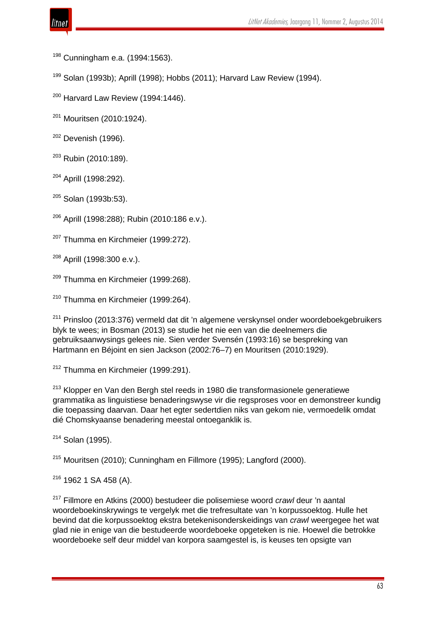Cunningham e.a. (1994:1563).

 $199$  Solan (1993b); Aprill (1998); Hobbs (2011); Harvard Law Review (1994).

 $200$  Harvard Law Review (1994:1446).

<sup>201</sup> Mouritsen (2010:1924).

 $202$  Devenish (1996).

<sup>203</sup> Rubin (2010:189).

<sup>204</sup> Aprill (1998:292).

 $205$  Solan (1993b:53).

<sup>206</sup> Aprill (1998:288); Rubin (2010:186 e.v.).

<sup>207</sup> Thumma en Kirchmeier (1999:272).

<sup>208</sup> Aprill (1998:300 e.v.).

<sup>209</sup> Thumma en Kirchmeier (1999:268).

 $210$  Thumma en Kirchmeier (1999:264).

<sup>211</sup> Prinsloo (2013:376) vermeld dat dit 'n algemene verskynsel onder woordeboekgebruikers blyk te wees; in Bosman (2013) se studie het nie een van die deelnemers die gebruiksaanwysings gelees nie. Sien verder Svensén (1993:16) se bespreking van Hartmann en Béjoint en sien Jackson (2002:76–7) en Mouritsen (2010:1929).

 $212$  Thumma en Kirchmeier (1999:291).

<sup>213</sup> Klopper en Van den Bergh stel reeds in 1980 die transformasionele generatiewe grammatika as linguistiese benaderingswyse vir die regsproses voor en demonstreer kundig die toepassing daarvan. Daar het egter sedertdien niks van gekom nie, vermoedelik omdat dié Chomskyaanse benadering meestal ontoeganklik is.

<sup>214</sup> Solan (1995).

 $215$  Mouritsen (2010); Cunningham en Fillmore (1995); Langford (2000).

<sup>216</sup> 1962 1 SA 458 (A).

<sup>217</sup> Fillmore en Atkins (2000) bestudeer die polisemiese woord *crawl* deur 'n aantal woordeboekinskrywings te vergelyk met die trefresultate van 'n korpussoektog. Hulle het bevind dat die korpussoektog ekstra betekenisonderskeidings van *crawl* weergegee het wat glad nie in enige van die bestudeerde woordeboeke opgeteken is nie. Hoewel die betrokke woordeboeke self deur middel van korpora saamgestel is, is keuses ten opsigte van